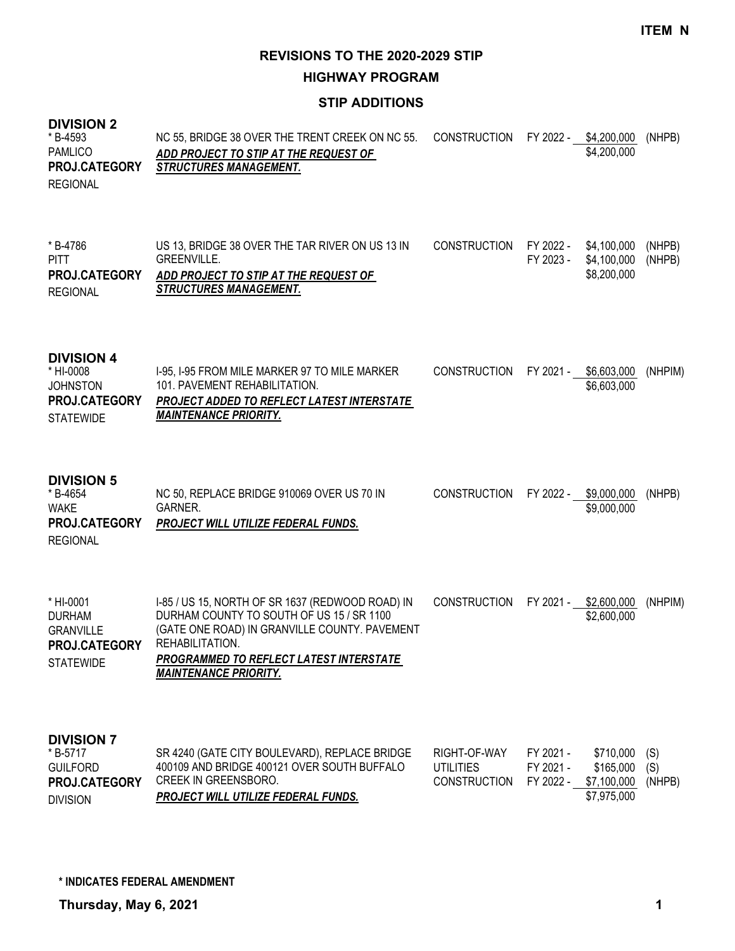#### **HIGHWAY PROGRAM**

#### **STIP ADDITIONS**

#### **DIVISION 2** NC 55, BRIDGE 38 OVER THE TRENT CREEK ON NC 55. *ADD PROJECT TO STIP AT THE REQUEST OF STRUCTURES MANAGEMENT.* CONSTRUCTION FY 2022 - \$4,200,000 (NHPB) \$4,200,000 \* B-4593 PAMLICO REGIONAL **PROJ.CATEGORY** US 13, BRIDGE 38 OVER THE TAR RIVER ON US 13 IN GREENVILLE. *ADD PROJECT TO STIP AT THE REQUEST OF STRUCTURES MANAGEMENT.* CONSTRUCTION FY 2022 - \$4,100,000 (NHPB) FY 2023 - \$4,100,000 (NHPB) \$8,200,000 \* B-4786 PITT REGIONAL **PROJ.CATEGORY DIVISION 4** I-95, I-95 FROM MILE MARKER 97 TO MILE MARKER 101. PAVEMENT REHABILITATION. *PROJECT ADDED TO REFLECT LATEST INTERSTATE MAINTENANCE PRIORITY.* CONSTRUCTION FY 2021 - \$6,603,000 (NHPIM) \$6,603,000 \* HI-0008 **JOHNSTON STATEWIDE PROJ.CATEGORY DIVISION 5** NC 50, REPLACE BRIDGE 910069 OVER US 70 IN GARNER. *PROJECT WILL UTILIZE FEDERAL FUNDS.* CONSTRUCTION FY 2022 - \$9,000,000 (NHPB) \$9,000,000 \* B-4654 WAKE REGIONAL **PROJ.CATEGORY** I-85 / US 15, NORTH OF SR 1637 (REDWOOD ROAD) IN DURHAM COUNTY TO SOUTH OF US 15 / SR 1100 (GATE ONE ROAD) IN GRANVILLE COUNTY. PAVEMENT REHABILITATION. *PROGRAMMED TO REFLECT LATEST INTERSTATE MAINTENANCE PRIORITY.* CONSTRUCTION FY 2021 - \$2,600,000 (NHPIM) \$2,600,000 \* HI-0001 DURHAM GRANVILLE **STATEWIDE PROJ.CATEGORY DIVISION 7** SR 4240 (GATE CITY BOULEVARD), REPLACE BRIDGE 400109 AND BRIDGE 400121 OVER SOUTH BUFFALO CREEK IN GREENSBORO. *PROJECT WILL UTILIZE FEDERAL FUNDS.* RIGHT-OF-WAY FY 2021 - \$710,000 (S) UTILITIES FY 2021 - \$165,000 (S) CONSTRUCTION FY 2022 - \$7,100,000 (NHPB) \$7,975,000 \* B-5717 GUILFORD **PROJ.CATEGORY**

DIVISION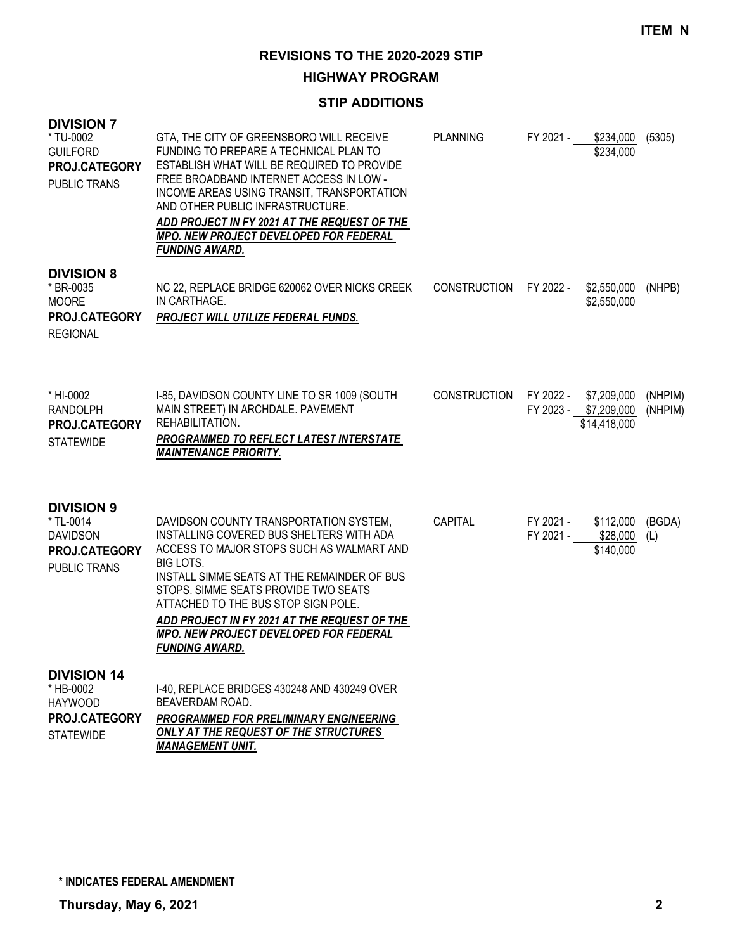# **HIGHWAY PROGRAM**

# **STIP ADDITIONS**

| <b>DIVISION 7</b><br>* TU-0002<br><b>GUILFORD</b><br>PROJ.CATEGORY<br><b>PUBLIC TRANS</b>        | GTA, THE CITY OF GREENSBORO WILL RECEIVE<br>FUNDING TO PREPARE A TECHNICAL PLAN TO<br>ESTABLISH WHAT WILL BE REQUIRED TO PROVIDE<br>FREE BROADBAND INTERNET ACCESS IN LOW -<br>INCOME AREAS USING TRANSIT, TRANSPORTATION<br>AND OTHER PUBLIC INFRASTRUCTURE.<br>ADD PROJECT IN FY 2021 AT THE REQUEST OF THE<br>MPO. NEW PROJECT DEVELOPED FOR FEDERAL<br><b>FUNDING AWARD.</b>              | <b>PLANNING</b>     | FY 2021 - | \$234,000<br>\$234,000                                         | (5305)             |
|--------------------------------------------------------------------------------------------------|-----------------------------------------------------------------------------------------------------------------------------------------------------------------------------------------------------------------------------------------------------------------------------------------------------------------------------------------------------------------------------------------------|---------------------|-----------|----------------------------------------------------------------|--------------------|
| <b>DIVISION 8</b><br>* BR-0035<br><b>MOORE</b><br>PROJ.CATEGORY<br><b>REGIONAL</b>               | NC 22, REPLACE BRIDGE 620062 OVER NICKS CREEK<br>IN CARTHAGE.<br>PROJECT WILL UTILIZE FEDERAL FUNDS.                                                                                                                                                                                                                                                                                          | <b>CONSTRUCTION</b> |           | FY 2022 - \$2,550,000<br>\$2,550,000                           | (NHPB)             |
| * HI-0002<br><b>RANDOLPH</b><br><b>PROJ.CATEGORY</b><br><b>STATEWIDE</b>                         | I-85, DAVIDSON COUNTY LINE TO SR 1009 (SOUTH<br>MAIN STREET) IN ARCHDALE. PAVEMENT<br>REHABILITATION.<br>PROGRAMMED TO REFLECT LATEST INTERSTATE<br><b>MAINTENANCE PRIORITY.</b>                                                                                                                                                                                                              | <b>CONSTRUCTION</b> |           | FY 2022 - \$7,209,000<br>FY 2023 - \$7,209,000<br>\$14,418,000 | (NHPIM)<br>(NHPIM) |
| <b>DIVISION 9</b><br>* TL-0014<br><b>DAVIDSON</b><br><b>PROJ.CATEGORY</b><br><b>PUBLIC TRANS</b> | DAVIDSON COUNTY TRANSPORTATION SYSTEM,<br>INSTALLING COVERED BUS SHELTERS WITH ADA<br>ACCESS TO MAJOR STOPS SUCH AS WALMART AND<br>BIG LOTS.<br>INSTALL SIMME SEATS AT THE REMAINDER OF BUS<br>STOPS. SIMME SEATS PROVIDE TWO SEATS<br>ATTACHED TO THE BUS STOP SIGN POLE.<br>ADD PROJECT IN FY 2021 AT THE REQUEST OF THE<br>MPO. NEW PROJECT DEVELOPED FOR FEDERAL<br><b>FUNDING AWARD.</b> | CAPITAL             | FY 2021 - | \$112,000<br>FY 2021 - \$28,000<br>\$140,000                   | (BGDA)<br>(L)      |
| <b>DIVISION 14</b><br>* HB-0002<br><b>HAYWOOD</b><br>PROJ.CATEGORY<br><b>STATEWIDE</b>           | I-40, REPLACE BRIDGES 430248 AND 430249 OVER<br>BEAVERDAM ROAD.<br><b>PROGRAMMED FOR PRELIMINARY ENGINEERING</b><br>ONLY AT THE REQUEST OF THE STRUCTURES<br><b>MANAGEMENT UNIT.</b>                                                                                                                                                                                                          |                     |           |                                                                |                    |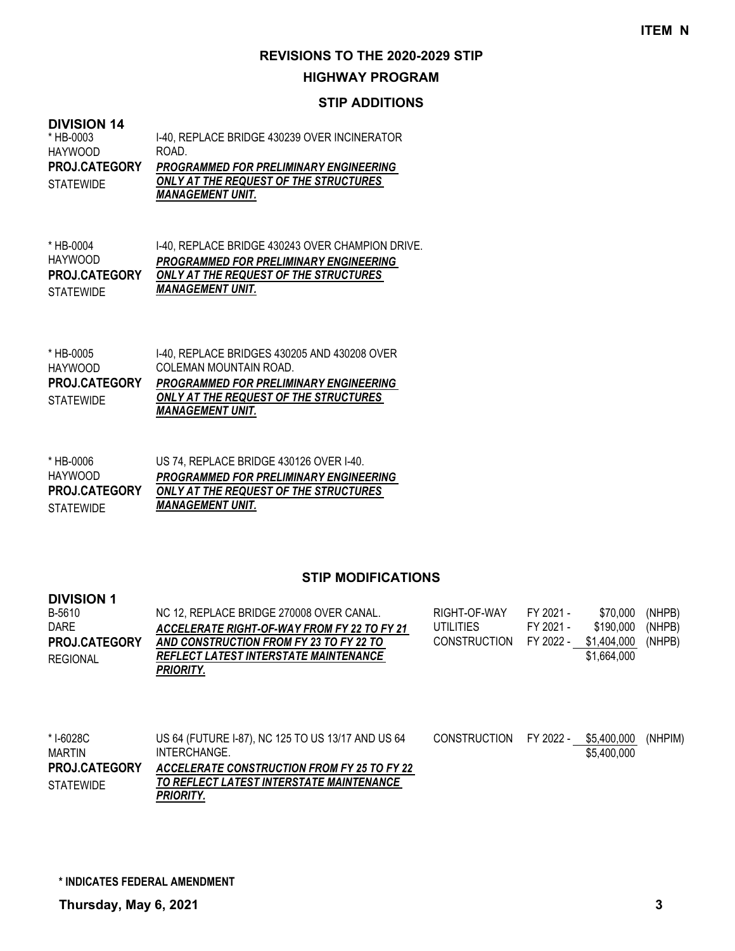#### **HIGHWAY PROGRAM**

#### **STIP ADDITIONS**

#### **DIVISION 14**

| * HB-0003            | 1-40. REPLACE BRIDGE 430239 OVER INCINERATOR  |
|----------------------|-----------------------------------------------|
| HAYWOOD              | ROAD.                                         |
| <b>PROJ.CATEGORY</b> | <b>PROGRAMMED FOR PRELIMINARY ENGINEERING</b> |
| <b>STATEWIDE</b>     | ONLY AT THE REQUEST OF THE STRUCTURES         |
|                      | <i><b>MANAGEMENT UNIT.</b></i>                |

I-40, REPLACE BRIDGE 430243 OVER CHAMPION DRIVE. *PROGRAMMED FOR PRELIMINARY ENGINEERING ONLY AT THE REQUEST OF THE STRUCTURES*  **PROJ.CATEGORY** *MANAGEMENT UNIT.* \* HB-0004 HAYWOOD STATEWIDE

| * HB-0005            | 1-40. REPLACE BRIDGES 430205 AND 430208 OVER  |
|----------------------|-----------------------------------------------|
| HAYWOOD              | COLEMAN MOUNTAIN ROAD.                        |
| <b>PROJ.CATEGORY</b> | <b>PROGRAMMED FOR PRELIMINARY ENGINEERING</b> |
| STATFWIDF            | ONLY AT THE REQUEST OF THE STRUCTURES         |
|                      | <i><b>MANAGEMENT UNIT.</b></i>                |

| * HB-0006            | US 74, REPLACE BRIDGE 430126 OVER I-40.       |
|----------------------|-----------------------------------------------|
| HAYWOOD              | <b>PROGRAMMED FOR PRELIMINARY ENGINEERING</b> |
| <b>PROJ.CATEGORY</b> | ONLY AT THE REQUEST OF THE STRUCTURES         |
| STATEWIDE            | <i><b>MANAGEMENT UNIT.</b></i>                |

| <b>DIVISION 1</b> |                                             |                     |           |             |        |
|-------------------|---------------------------------------------|---------------------|-----------|-------------|--------|
| B-5610            | NC 12, REPLACE BRIDGE 270008 OVER CANAL.    | RIGHT-OF-WAY        | FY 2021 - | \$70.000    | (NHPB) |
| <b>DARE</b>       | ACCELERATE RIGHT-OF-WAY FROM FY 22 TO FY 21 | UTILITIES           | FY 2021 - | \$190.000   | (NHPB) |
| PROJ.CATEGORY     | AND CONSTRUCTION FROM FY 23 TO FY 22 TO     | <b>CONSTRUCTION</b> | FY 2022 - | \$1.404.000 | (NHPB) |
| <b>REGIONAL</b>   | REFLECT LATEST INTERSTATE MAINTENANCE       |                     |           | \$1,664,000 |        |
|                   | PRIORITY.                                   |                     |           |             |        |
|                   |                                             |                     |           |             |        |

| * I-6028C<br>MARTIN  | US 64 (FUTURE 1-87), NC 125 TO US 13/17 AND US 64<br>INTERCHANGE. | CONSTRUCTION FY 2022 - | \$5.400.000<br>\$5,400,000 | (NHPIM) |
|----------------------|-------------------------------------------------------------------|------------------------|----------------------------|---------|
| <b>PROJ.CATEGORY</b> | ACCELERATE CONSTRUCTION FROM FY 25 TO FY 22                       |                        |                            |         |
| <b>STATEWIDE</b>     | TO REFLECT LATEST INTERSTATE MAINTENANCE                          |                        |                            |         |
|                      | PRIORITY.                                                         |                        |                            |         |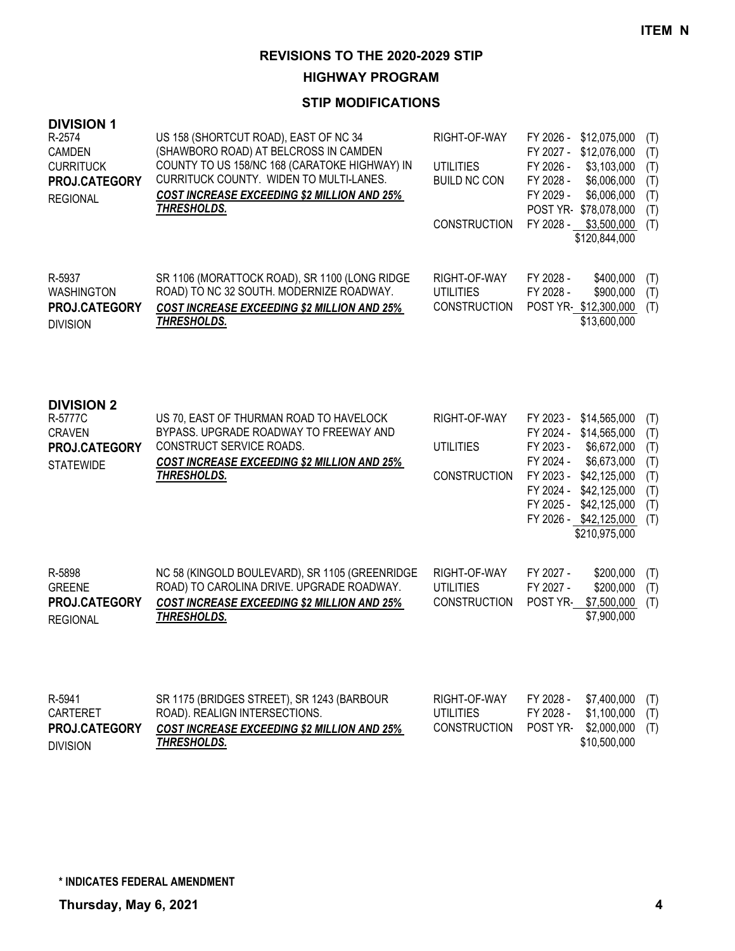**HIGHWAY PROGRAM**

| <b>DIVISION 1</b><br>R-2574<br><b>CAMDEN</b><br><b>CURRITUCK</b><br>PROJ.CATEGORY<br><b>REGIONAL</b> | US 158 (SHORTCUT ROAD), EAST OF NC 34<br>(SHAWBORO ROAD) AT BELCROSS IN CAMDEN<br>COUNTY TO US 158/NC 168 (CARATOKE HIGHWAY) IN<br>CURRITUCK COUNTY. WIDEN TO MULTI-LANES.<br><b>COST INCREASE EXCEEDING \$2 MILLION AND 25%</b><br>THRESHOLDS. | RIGHT-OF-WAY<br><b>UTILITIES</b><br><b>BUILD NC CON</b><br><b>CONSTRUCTION</b> | FY 2026 -<br>\$12,075,000<br>FY 2027 -<br>\$12,076,000<br>FY 2026 -<br>\$3,103,000<br>FY 2028 -<br>\$6,006,000<br>FY 2029 -<br>\$6,006,000<br>POST YR-\$78,078,000<br>FY 2028 -<br>\$3,500,000<br>\$120,844,000                                  | (T)<br>(T)<br>(T)<br>(T)<br>(T)<br>(T)<br>(T)        |
|------------------------------------------------------------------------------------------------------|-------------------------------------------------------------------------------------------------------------------------------------------------------------------------------------------------------------------------------------------------|--------------------------------------------------------------------------------|--------------------------------------------------------------------------------------------------------------------------------------------------------------------------------------------------------------------------------------------------|------------------------------------------------------|
| R-5937<br><b>WASHINGTON</b><br>PROJ.CATEGORY<br><b>DIVISION</b>                                      | SR 1106 (MORATTOCK ROAD), SR 1100 (LONG RIDGE<br>ROAD) TO NC 32 SOUTH. MODERNIZE ROADWAY.<br><b>COST INCREASE EXCEEDING \$2 MILLION AND 25%</b><br>THRESHOLDS.                                                                                  | RIGHT-OF-WAY<br><b>UTILITIES</b><br><b>CONSTRUCTION</b>                        | FY 2028 -<br>\$400,000<br>FY 2028 -<br>\$900,000<br>POST YR \$12,300,000<br>\$13,600,000                                                                                                                                                         | (T)<br>(T)<br>(T)                                    |
| <b>DIVISION 2</b><br>R-5777C<br><b>CRAVEN</b><br>PROJ.CATEGORY<br><b>STATEWIDE</b>                   | US 70, EAST OF THURMAN ROAD TO HAVELOCK<br>BYPASS. UPGRADE ROADWAY TO FREEWAY AND<br>CONSTRUCT SERVICE ROADS.<br><b>COST INCREASE EXCEEDING \$2 MILLION AND 25%</b><br><b>THRESHOLDS.</b>                                                       | RIGHT-OF-WAY<br><b>UTILITIES</b><br><b>CONSTRUCTION</b>                        | FY 2023 -<br>\$14,565,000<br>FY 2024 -<br>\$14,565,000<br>FY 2023 -<br>\$6,672,000<br>FY 2024 -<br>\$6,673,000<br>FY 2023 -<br>\$42,125,000<br>FY 2024 -<br>\$42,125,000<br>FY 2025 -<br>\$42,125,000<br>FY 2026 - \$42,125,000<br>\$210,975,000 | (T)<br>(T)<br>(T)<br>(T)<br>(T)<br>(T)<br>(T)<br>(T) |
| R-5898<br><b>GREENE</b><br>PROJ.CATEGORY<br><b>REGIONAL</b>                                          | NC 58 (KINGOLD BOULEVARD), SR 1105 (GREENRIDGE<br>ROAD) TO CAROLINA DRIVE. UPGRADE ROADWAY.<br><b>COST INCREASE EXCEEDING \$2 MILLION AND 25%</b><br>THRESHOLDS.                                                                                | RIGHT-OF-WAY<br><b>UTILITIES</b><br><b>CONSTRUCTION</b>                        | FY 2027 -<br>\$200,000<br>FY 2027 -<br>\$200,000<br>POST YR-<br>\$7,500,000<br>\$7,900,000                                                                                                                                                       | (T)<br>(T)<br>(T)                                    |
| R-5941<br><b>CARTERET</b><br>PROJ.CATEGORY<br><b>DIVISION</b>                                        | SR 1175 (BRIDGES STREET), SR 1243 (BARBOUR<br>ROAD). REALIGN INTERSECTIONS.<br><b>COST INCREASE EXCEEDING \$2 MILLION AND 25%</b><br>THRESHOLDS.                                                                                                | RIGHT-OF-WAY<br><b>UTILITIES</b><br><b>CONSTRUCTION</b>                        | FY 2028 -<br>\$7,400,000<br>FY 2028 -<br>\$1,100,000<br>\$2,000,000<br>POST YR-<br>\$10,500,000                                                                                                                                                  | (T)<br>(T)<br>(T)                                    |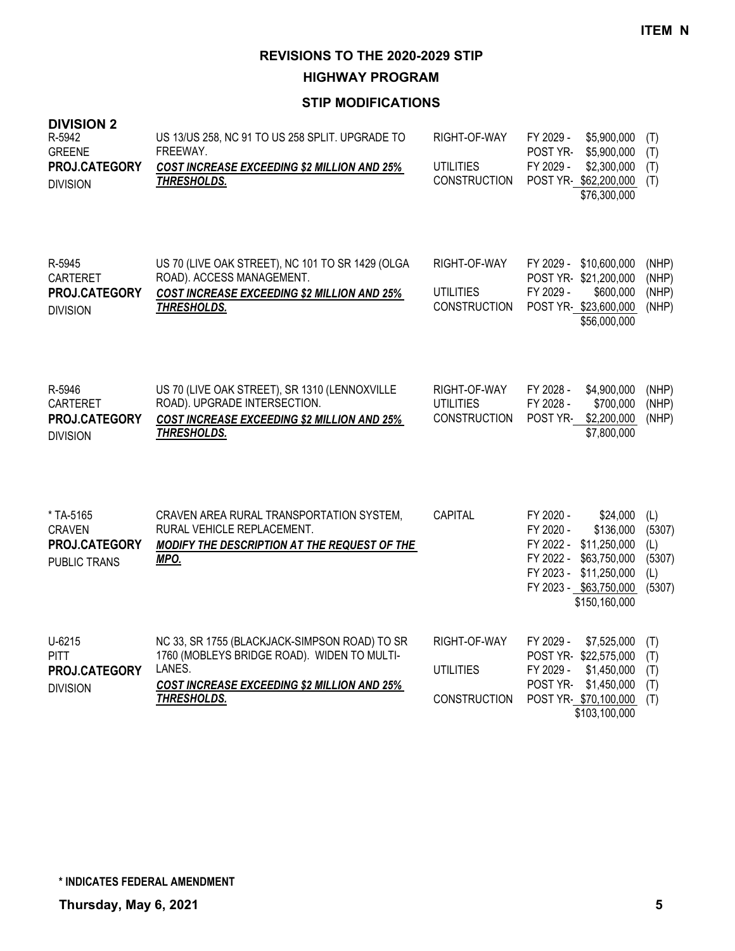**HIGHWAY PROGRAM**

| <b>DIVISION 2</b><br>R-5942<br><b>GREENE</b><br>PROJ.CATEGORY<br><b>DIVISION</b> | US 13/US 258, NC 91 TO US 258 SPLIT. UPGRADE TO<br>FREEWAY.<br><b>COST INCREASE EXCEEDING \$2 MILLION AND 25%</b><br>THRESHOLDS.                                            | RIGHT-OF-WAY<br><b>UTILITIES</b><br><b>CONSTRUCTION</b> | FY 2029 -<br>\$5,900,000<br>POST YR-<br>\$5,900,000<br>FY 2029 -<br>\$2,300,000<br>POST YR-\$62,200,000<br>\$76,300,000                                                           | (T)<br>(T)<br>(T)<br>(T)                        |
|----------------------------------------------------------------------------------|-----------------------------------------------------------------------------------------------------------------------------------------------------------------------------|---------------------------------------------------------|-----------------------------------------------------------------------------------------------------------------------------------------------------------------------------------|-------------------------------------------------|
| R-5945<br><b>CARTERET</b><br>PROJ.CATEGORY<br><b>DIVISION</b>                    | US 70 (LIVE OAK STREET), NC 101 TO SR 1429 (OLGA<br>ROAD). ACCESS MANAGEMENT.<br><b>COST INCREASE EXCEEDING \$2 MILLION AND 25%</b><br><b>THRESHOLDS.</b>                   | RIGHT-OF-WAY<br><b>UTILITIES</b><br><b>CONSTRUCTION</b> | FY 2029 - \$10,600,000<br>POST YR-\$21,200,000<br>\$600,000<br>FY 2029 -<br>POST YR-\$23,600,000<br>\$56,000,000                                                                  | (NHP)<br>(NHP)<br>(NHP)<br>(NHP)                |
| R-5946<br><b>CARTERET</b><br>PROJ.CATEGORY<br><b>DIVISION</b>                    | US 70 (LIVE OAK STREET), SR 1310 (LENNOXVILLE<br>ROAD). UPGRADE INTERSECTION.<br><b>COST INCREASE EXCEEDING \$2 MILLION AND 25%</b><br>THRESHOLDS.                          | RIGHT-OF-WAY<br><b>UTILITIES</b><br><b>CONSTRUCTION</b> | FY 2028 -<br>\$4,900,000<br>FY 2028 -<br>\$700,000<br>\$2,200,000<br>POST YR-<br>\$7,800,000                                                                                      | (NHP)<br>(NHP)<br>(NHP)                         |
| * TA-5165<br><b>CRAVEN</b><br>PROJ.CATEGORY<br><b>PUBLIC TRANS</b>               | CRAVEN AREA RURAL TRANSPORTATION SYSTEM,<br>RURAL VEHICLE REPLACEMENT.<br>MODIFY THE DESCRIPTION AT THE REQUEST OF THE<br>MPO.                                              | CAPITAL                                                 | FY 2020 -<br>\$24,000<br>FY 2020 -<br>\$136,000<br>FY 2022 -<br>\$11,250,000<br>FY 2022 -<br>\$63,750,000<br>FY 2023 -<br>\$11,250,000<br>FY 2023 - \$63,750,000<br>\$150,160,000 | (L)<br>(5307)<br>(L)<br>(5307)<br>(L)<br>(5307) |
| U-6215<br><b>PITT</b><br>PROJ.CATEGORY<br><b>DIVISION</b>                        | NC 33, SR 1755 (BLACKJACK-SIMPSON ROAD) TO SR<br>1760 (MOBLEYS BRIDGE ROAD). WIDEN TO MULTI-<br>LANES.<br><b>COST INCREASE EXCEEDING \$2 MILLION AND 25%</b><br>THRESHOLDS. | RIGHT-OF-WAY<br><b>UTILITIES</b><br><b>CONSTRUCTION</b> | FY 2029 -<br>\$7,525,000<br>POST YR-\$22,575,000<br>FY 2029 -<br>\$1,450,000<br>POST YR-<br>\$1,450,000<br>POST YR-\$70,100,000<br>\$103,100,000                                  | (T)<br>(T)<br>(T)<br>(T)<br>(T)                 |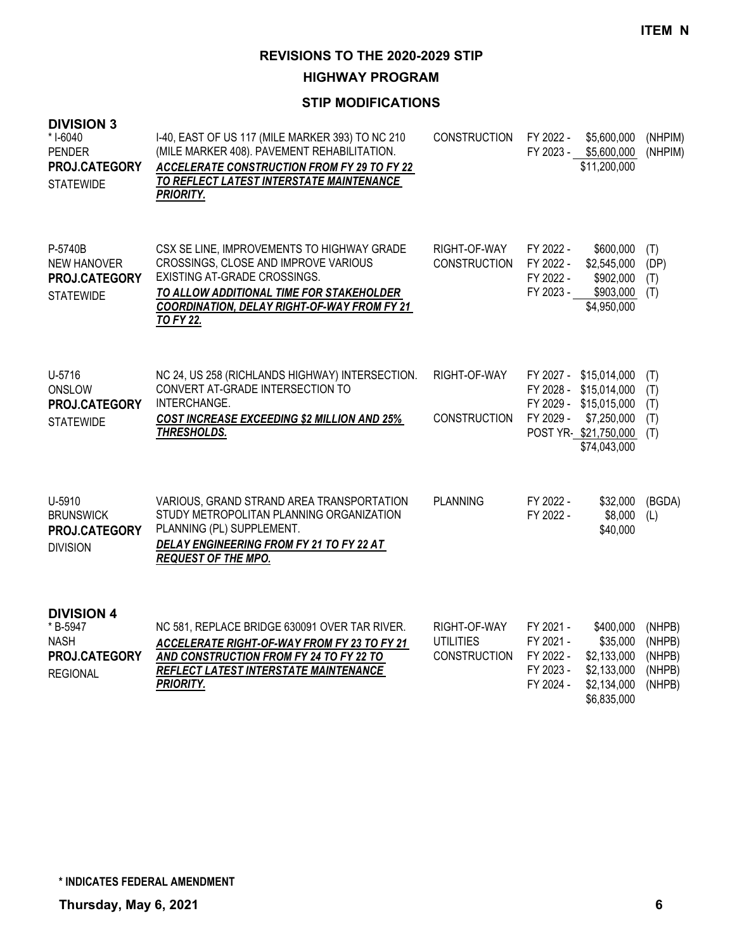**HIGHWAY PROGRAM**

| <b>DIVISION 3</b><br>* I-6040<br><b>PENDER</b><br>PROJ.CATEGORY<br><b>STATEWIDE</b> | I-40, EAST OF US 117 (MILE MARKER 393) TO NC 210<br>(MILE MARKER 408). PAVEMENT REHABILITATION.<br><b>ACCELERATE CONSTRUCTION FROM FY 29 TO FY 22</b><br>TO REFLECT LATEST INTERSTATE MAINTENANCE<br><b>PRIORITY.</b>                    | <b>CONSTRUCTION</b>                                     | FY 2022 -                                                     | \$5,600,000<br>FY 2023 - \$5,600,000<br>\$11,200,000                                                                              | (NHPIM)<br>(NHPIM)                             |
|-------------------------------------------------------------------------------------|------------------------------------------------------------------------------------------------------------------------------------------------------------------------------------------------------------------------------------------|---------------------------------------------------------|---------------------------------------------------------------|-----------------------------------------------------------------------------------------------------------------------------------|------------------------------------------------|
| P-5740B<br><b>NEW HANOVER</b><br>PROJ.CATEGORY<br><b>STATEWIDE</b>                  | CSX SE LINE, IMPROVEMENTS TO HIGHWAY GRADE<br>CROSSINGS, CLOSE AND IMPROVE VARIOUS<br>EXISTING AT-GRADE CROSSINGS.<br>TO ALLOW ADDITIONAL TIME FOR STAKEHOLDER<br><b>COORDINATION, DELAY RIGHT-OF-WAY FROM FY 21</b><br><b>TO FY 22.</b> | RIGHT-OF-WAY<br><b>CONSTRUCTION</b>                     | FY 2022 -<br>FY 2022 -<br>FY 2022 -<br>FY 2023 -              | \$600,000<br>\$2,545,000<br>\$902,000<br>\$903,000<br>\$4,950,000                                                                 | (T)<br>(DP)<br>(T)<br>(T)                      |
| U-5716<br>ONSLOW<br>PROJ.CATEGORY<br><b>STATEWIDE</b>                               | NC 24, US 258 (RICHLANDS HIGHWAY) INTERSECTION.<br>CONVERT AT-GRADE INTERSECTION TO<br>INTERCHANGE.<br><b>COST INCREASE EXCEEDING \$2 MILLION AND 25%</b><br><b>THRESHOLDS.</b>                                                          | RIGHT-OF-WAY<br><b>CONSTRUCTION</b>                     | FY 2029 -                                                     | FY 2027 - \$15,014,000<br>FY 2028 - \$15,014,000<br>FY 2029 - \$15,015,000<br>\$7,250,000<br>POST YR-\$21,750,000<br>\$74,043,000 | (T)<br>(T)<br>(T)<br>(T)<br>(T)                |
| U-5910<br><b>BRUNSWICK</b><br>PROJ.CATEGORY<br><b>DIVISION</b>                      | VARIOUS, GRAND STRAND AREA TRANSPORTATION<br>STUDY METROPOLITAN PLANNING ORGANIZATION<br>PLANNING (PL) SUPPLEMENT.<br>DELAY ENGINEERING FROM FY 21 TO FY 22 AT<br><b>REQUEST OF THE MPO.</b>                                             | <b>PLANNING</b>                                         | FY 2022 -<br>FY 2022 -                                        | \$32,000<br>\$8,000<br>\$40,000                                                                                                   | (BGDA)<br>(L)                                  |
| <b>DIVISION 4</b><br>* B-5947<br><b>NASH</b><br>PROJ.CATEGORY<br><b>REGIONAL</b>    | NC 581, REPLACE BRIDGE 630091 OVER TAR RIVER.<br>ACCELERATE RIGHT-OF-WAY FROM FY 23 TO FY 21<br>AND CONSTRUCTION FROM FY 24 TO FY 22 TO<br>REFLECT LATEST INTERSTATE MAINTENANCE<br><b>PRIORITY.</b>                                     | RIGHT-OF-WAY<br><b>UTILITIES</b><br><b>CONSTRUCTION</b> | FY 2021 -<br>FY 2021 -<br>FY 2022 -<br>FY 2023 -<br>FY 2024 - | \$400,000<br>\$35,000<br>\$2,133,000<br>\$2,133,000<br>\$2,134,000<br>\$6,835,000                                                 | (NHPB)<br>(NHPB)<br>(NHPB)<br>(NHPB)<br>(NHPB) |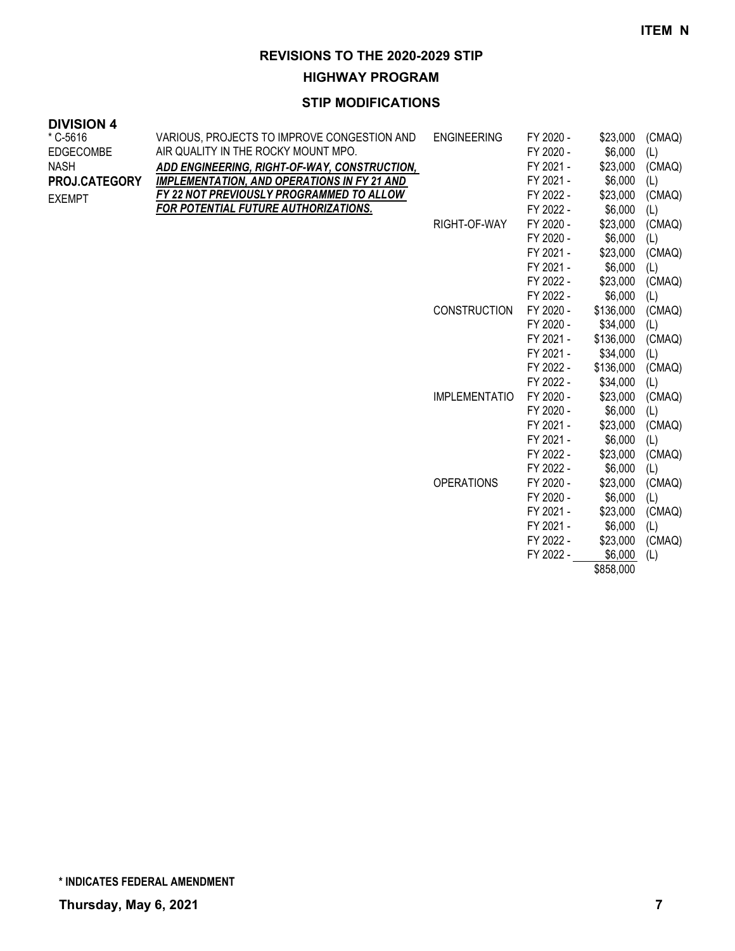**HIGHWAY PROGRAM**

### **STIP MODIFICATIONS**

| ד וטוטומו        |                                                    |                      |           |           |        |
|------------------|----------------------------------------------------|----------------------|-----------|-----------|--------|
| * C-5616         | VARIOUS, PROJECTS TO IMPROVE CONGESTION AND        | <b>ENGINEERING</b>   | FY 2020 - | \$23,000  | (CMAQ) |
| <b>EDGECOMBE</b> | AIR QUALITY IN THE ROCKY MOUNT MPO.                |                      | FY 2020 - | \$6,000   | (L)    |
| <b>NASH</b>      | ADD ENGINEERING, RIGHT-OF-WAY, CONSTRUCTION,       |                      | FY 2021 - | \$23,000  | (CMAQ) |
| PROJ.CATEGORY    | <b>IMPLEMENTATION, AND OPERATIONS IN FY 21 AND</b> |                      | FY 2021 - | \$6,000   | (L)    |
| <b>EXEMPT</b>    | FY 22 NOT PREVIOUSLY PROGRAMMED TO ALLOW           |                      | FY 2022 - | \$23,000  | (CMAQ) |
|                  | FOR POTENTIAL FUTURE AUTHORIZATIONS.               |                      | FY 2022 - | \$6,000   | (L)    |
|                  |                                                    | RIGHT-OF-WAY         | FY 2020 - | \$23,000  | (CMAQ) |
|                  |                                                    |                      | FY 2020 - | \$6,000   | (L)    |
|                  |                                                    |                      | FY 2021 - | \$23,000  | (CMAQ) |
|                  |                                                    |                      | FY 2021 - | \$6,000   | (L)    |
|                  |                                                    |                      | FY 2022 - | \$23,000  | (CMAQ) |
|                  |                                                    |                      | FY 2022 - | \$6,000   | (L)    |
|                  |                                                    | <b>CONSTRUCTION</b>  | FY 2020 - | \$136,000 | (CMAQ) |
|                  |                                                    |                      | FY 2020 - | \$34,000  | (L)    |
|                  |                                                    |                      | FY 2021 - | \$136,000 | (CMAQ) |
|                  |                                                    |                      | FY 2021 - | \$34,000  | (L)    |
|                  |                                                    |                      | FY 2022 - | \$136,000 | (CMAQ) |
|                  |                                                    |                      | FY 2022 - | \$34,000  | (L)    |
|                  |                                                    | <b>IMPLEMENTATIO</b> | FY 2020 - | \$23,000  | (CMAQ) |
|                  |                                                    |                      | FY 2020 - | \$6,000   | (L)    |
|                  |                                                    |                      | FY 2021 - | \$23,000  | (CMAQ) |
|                  |                                                    |                      | FY 2021 - | \$6,000   | (L)    |
|                  |                                                    |                      | FY 2022 - | \$23,000  | (CMAQ) |
|                  |                                                    |                      | FY 2022 - | \$6,000   | (L)    |
|                  |                                                    | <b>OPERATIONS</b>    | FY 2020 - | \$23,000  | (CMAQ) |
|                  |                                                    |                      | FY 2020 - | \$6,000   | (L)    |
|                  |                                                    |                      | FY 2021 - | \$23,000  | (CMAQ) |
|                  |                                                    |                      | FY 2021 - | \$6,000   | (L)    |
|                  |                                                    |                      | FY 2022 - | \$23,000  | (CMAQ) |
|                  |                                                    |                      | FY 2022 - | \$6,000   | (L)    |

\$858,000

**DIVISION 4**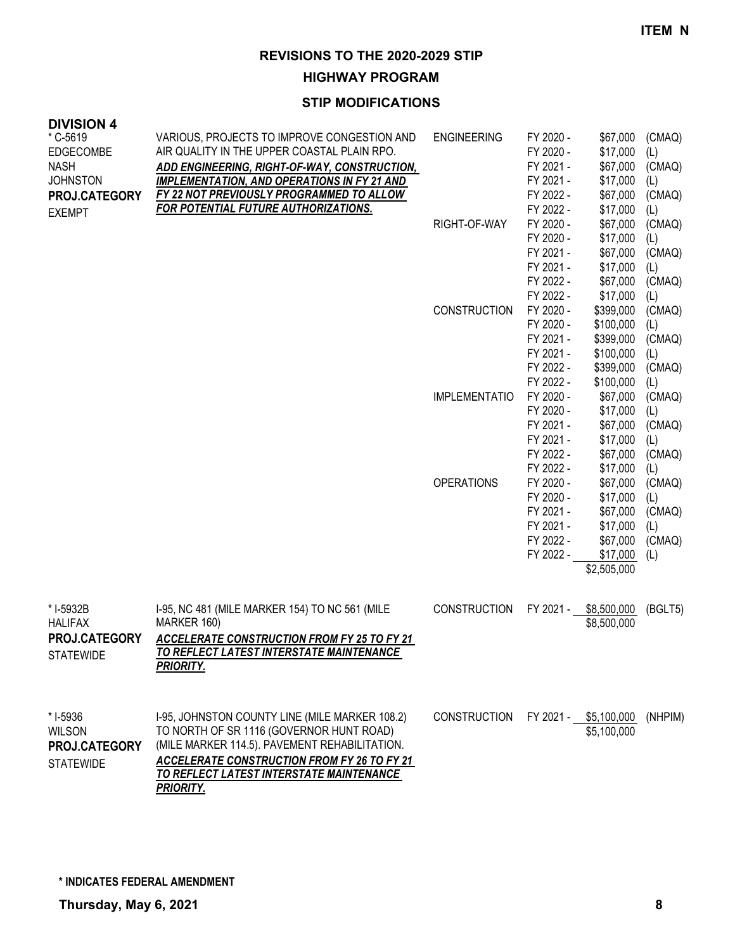**HIGHWAY PROGRAM**

#### **STIP MODIFICATIONS**

| <b>DIVISION 4</b><br>* C-5619<br><b>EDGECOMBE</b><br><b>NASH</b><br><b>JOHNSTON</b><br>PROJ.CATEGORY | VARIOUS, PROJECTS TO IMPROVE CONGESTION AND<br>AIR QUALITY IN THE UPPER COASTAL PLAIN RPO.<br>ADD ENGINEERING, RIGHT-OF-WAY, CONSTRUCTION,<br><b>IMPLEMENTATION, AND OPERATIONS IN FY 21 AND</b><br>FY 22 NOT PREVIOUSLY PROGRAMMED TO ALLOW                      | <b>ENGINEERING</b>   | FY 2020 -<br>FY 2020 -<br>FY 2021 -<br>FY 2021 -<br>FY 2022 -                                        | \$67,000<br>\$17,000<br>\$67,000<br>\$17,000<br>\$67,000                                                    | (CMAQ)<br>(L)<br>(CMAQ)<br>(L)<br>(CMAQ)                         |
|------------------------------------------------------------------------------------------------------|-------------------------------------------------------------------------------------------------------------------------------------------------------------------------------------------------------------------------------------------------------------------|----------------------|------------------------------------------------------------------------------------------------------|-------------------------------------------------------------------------------------------------------------|------------------------------------------------------------------|
| <b>EXEMPT</b>                                                                                        | <b>FOR POTENTIAL FUTURE AUTHORIZATIONS.</b>                                                                                                                                                                                                                       | RIGHT-OF-WAY         | FY 2022 -<br>FY 2020 -<br>FY 2020 -<br>FY 2021 -<br>FY 2021 -                                        | \$17,000<br>\$67,000<br>\$17,000<br>\$67,000<br>\$17,000                                                    | (L)<br>(CMAQ)<br>(L)<br>(CMAQ)<br>(L)                            |
|                                                                                                      |                                                                                                                                                                                                                                                                   | <b>CONSTRUCTION</b>  | FY 2022 -<br>FY 2022 -<br>FY 2020 -<br>FY 2020 -<br>FY 2021 -<br>FY 2021 -                           | \$67,000<br>\$17,000<br>\$399,000<br>\$100,000<br>\$399,000<br>\$100,000                                    | (CMAQ)<br>(L)<br>(CMAQ)<br>(L)<br>(CMAQ)<br>(L)                  |
|                                                                                                      |                                                                                                                                                                                                                                                                   | <b>IMPLEMENTATIO</b> | FY 2022 -<br>FY 2022 -<br>FY 2020 -<br>FY 2020 -<br>FY 2021 -<br>FY 2021 -                           | \$399,000<br>\$100,000<br>\$67,000<br>\$17,000<br>\$67,000<br>\$17,000                                      | (CMAQ)<br>(L)<br>(CMAQ)<br>(L)<br>(CMAQ)<br>(L)                  |
|                                                                                                      |                                                                                                                                                                                                                                                                   | <b>OPERATIONS</b>    | FY 2022 -<br>FY 2022 -<br>FY 2020 -<br>FY 2020 -<br>FY 2021 -<br>FY 2021 -<br>FY 2022 -<br>FY 2022 - | \$67,000<br>\$17,000<br>\$67,000<br>\$17,000<br>\$67,000<br>\$17,000<br>\$67,000<br>\$17,000<br>\$2,505,000 | (CMAQ)<br>(L)<br>(CMAQ)<br>(L)<br>(CMAQ)<br>(L)<br>(CMAQ)<br>(L) |
| * I-5932B<br><b>HALIFAX</b><br>PROJ.CATEGORY<br><b>STATEWIDE</b>                                     | I-95, NC 481 (MILE MARKER 154) TO NC 561 (MILE<br>MARKER 160)<br><b>ACCELERATE CONSTRUCTION FROM FY 25 TO FY 21</b><br>TO REFLECT LATEST INTERSTATE MAINTENANCE<br><b>PRIORITY.</b>                                                                               | <b>CONSTRUCTION</b>  | FY 2021 -                                                                                            | \$8,500,000<br>\$8,500,000                                                                                  | (BGLT5)                                                          |
| * I-5936<br><b>WILSON</b><br>PROJ.CATEGORY<br><b>STATEWIDE</b>                                       | I-95, JOHNSTON COUNTY LINE (MILE MARKER 108.2)<br>TO NORTH OF SR 1116 (GOVERNOR HUNT ROAD)<br>(MILE MARKER 114.5). PAVEMENT REHABILITATION.<br><b>ACCELERATE CONSTRUCTION FROM FY 26 TO FY 21</b><br>TO REFLECT LATEST INTERSTATE MAINTENANCE<br><b>PRIORITY.</b> | <b>CONSTRUCTION</b>  | FY 2021 -                                                                                            | \$5,100,000<br>\$5,100,000                                                                                  | (NHPIM)                                                          |

**\* INDICATES FEDERAL AMENDMENT**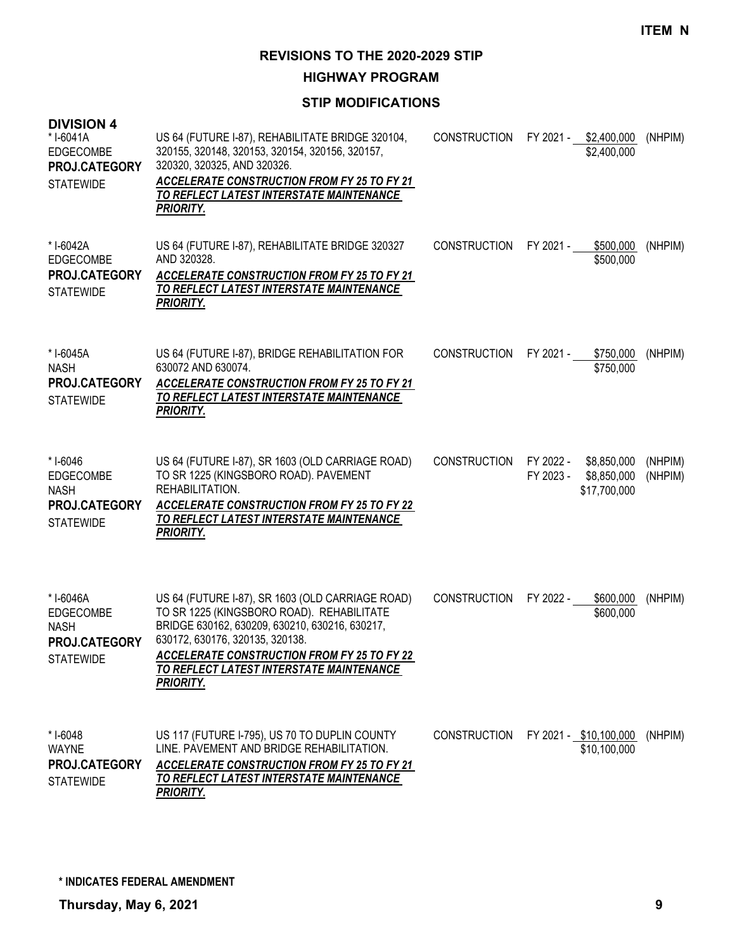**HIGHWAY PROGRAM**

| <b>DIVISION 4</b><br>*I-6041A<br><b>EDGECOMBE</b><br>PROJ.CATEGORY<br><b>STATEWIDE</b> | US 64 (FUTURE I-87), REHABILITATE BRIDGE 320104,<br>320155, 320148, 320153, 320154, 320156, 320157,<br>320320, 320325, AND 320326.<br><b>ACCELERATE CONSTRUCTION FROM FY 25 TO FY 21</b><br>TO REFLECT LATEST INTERSTATE MAINTENANCE<br><b>PRIORITY.</b>                                                 | <b>CONSTRUCTION</b> |                        | FY 2021 - \$2,400,000<br>\$2,400,000       | (NHPIM)            |
|----------------------------------------------------------------------------------------|----------------------------------------------------------------------------------------------------------------------------------------------------------------------------------------------------------------------------------------------------------------------------------------------------------|---------------------|------------------------|--------------------------------------------|--------------------|
| * I-6042A<br><b>EDGECOMBE</b><br>PROJ.CATEGORY<br><b>STATEWIDE</b>                     | US 64 (FUTURE I-87), REHABILITATE BRIDGE 320327<br>AND 320328.<br><b>ACCELERATE CONSTRUCTION FROM FY 25 TO FY 21</b><br>TO REFLECT LATEST INTERSTATE MAINTENANCE<br><b>PRIORITY.</b>                                                                                                                     | <b>CONSTRUCTION</b> | FY 2021 -              | \$500,000<br>\$500,000                     | (NHPIM)            |
| * I-6045A<br><b>NASH</b><br><b>PROJ.CATEGORY</b><br><b>STATEWIDE</b>                   | US 64 (FUTURE I-87), BRIDGE REHABILITATION FOR<br>630072 AND 630074.<br><b>ACCELERATE CONSTRUCTION FROM FY 25 TO FY 21</b><br>TO REFLECT LATEST INTERSTATE MAINTENANCE<br><b>PRIORITY.</b>                                                                                                               | <b>CONSTRUCTION</b> | FY 2021 -              | \$750,000<br>\$750,000                     | (NHPIM)            |
| * I-6046<br>EDGECOMBE<br><b>NASH</b><br>PROJ.CATEGORY<br><b>STATEWIDE</b>              | US 64 (FUTURE I-87), SR 1603 (OLD CARRIAGE ROAD)<br>TO SR 1225 (KINGSBORO ROAD). PAVEMENT<br>REHABILITATION.<br><b>ACCELERATE CONSTRUCTION FROM FY 25 TO FY 22</b><br>TO REFLECT LATEST INTERSTATE MAINTENANCE<br>PRIORITY.                                                                              | <b>CONSTRUCTION</b> | FY 2022 -<br>FY 2023 - | \$8,850,000<br>\$8,850,000<br>\$17,700,000 | (NHPIM)<br>(NHPIM) |
| * I-6046A<br><b>EDGECOMBE</b><br><b>NASH</b><br>PROJ.CATEGORY<br><b>STATEWIDE</b>      | US 64 (FUTURE I-87), SR 1603 (OLD CARRIAGE ROAD)<br>TO SR 1225 (KINGSBORO ROAD). REHABILITATE<br>BRIDGE 630162, 630209, 630210, 630216, 630217,<br>630172, 630176, 320135, 320138.<br><b>ACCELERATE CONSTRUCTION FROM FY 25 TO FY 22</b><br>TO REFLECT LATEST INTERSTATE MAINTENANCE<br><b>PRIORITY.</b> | <b>CONSTRUCTION</b> | FY 2022 -              | \$600,000<br>\$600,000                     | (NHPIM)            |
| * I-6048<br><b>WAYNE</b><br>PROJ.CATEGORY<br><b>STATEWIDE</b>                          | US 117 (FUTURE I-795), US 70 TO DUPLIN COUNTY<br>LINE. PAVEMENT AND BRIDGE REHABILITATION.<br><b>ACCELERATE CONSTRUCTION FROM FY 25 TO FY 21</b><br>TO REFLECT LATEST INTERSTATE MAINTENANCE<br>PRIORITY.                                                                                                | CONSTRUCTION        |                        | FY 2021 - \$10,100,000<br>\$10,100,000     | (NHPIM)            |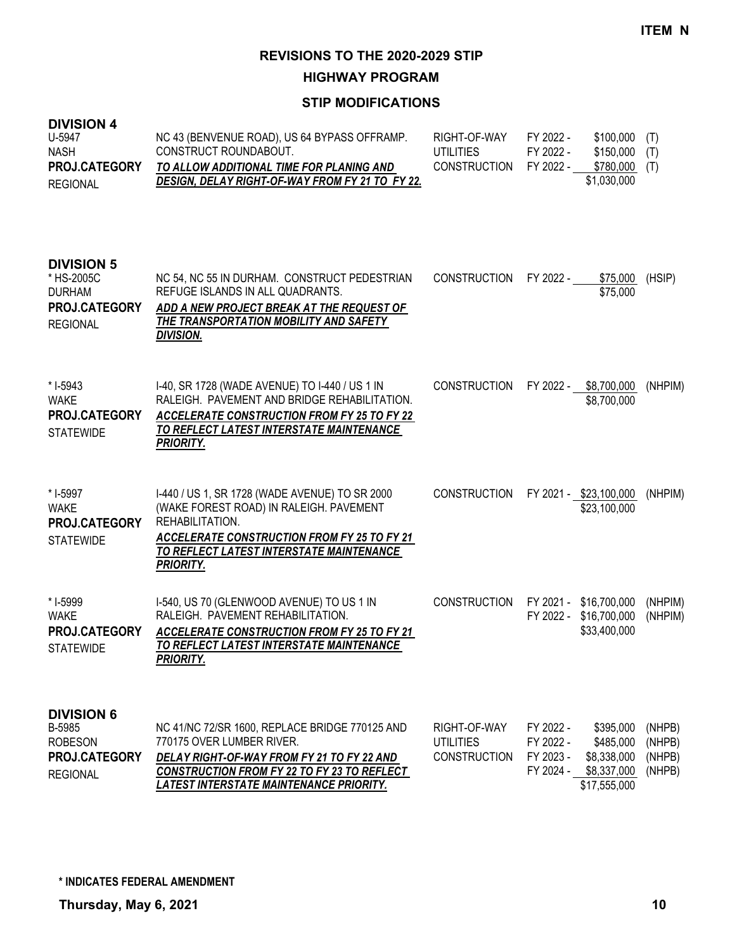**HIGHWAY PROGRAM**

| <b>DIVISION 4</b><br>U-5947<br><b>NASH</b><br>PROJ.CATEGORY<br><b>REGIONAL</b>       | NC 43 (BENVENUE ROAD), US 64 BYPASS OFFRAMP.<br>CONSTRUCT ROUNDABOUT.<br>TO ALLOW ADDITIONAL TIME FOR PLANING AND<br>DESIGN, DELAY RIGHT-OF-WAY FROM FY 21 TO FY 22.                                                 | RIGHT-OF-WAY<br><b>UTILITIES</b><br><b>CONSTRUCTION</b> | FY 2022 -<br>FY 2022 -<br>FY 2022 -              | \$100,000<br>\$150,000<br>\$780,000<br>\$1,030,000                   | (T)<br>(T)<br>(T)                    |
|--------------------------------------------------------------------------------------|----------------------------------------------------------------------------------------------------------------------------------------------------------------------------------------------------------------------|---------------------------------------------------------|--------------------------------------------------|----------------------------------------------------------------------|--------------------------------------|
| <b>DIVISION 5</b><br>* HS-2005C<br><b>DURHAM</b><br>PROJ.CATEGORY<br><b>REGIONAL</b> | NC 54, NC 55 IN DURHAM. CONSTRUCT PEDESTRIAN<br>REFUGE ISLANDS IN ALL QUADRANTS.<br>ADD A NEW PROJECT BREAK AT THE REQUEST OF<br>THE TRANSPORTATION MOBILITY AND SAFETY<br><u>DIVISION.</u>                          | <b>CONSTRUCTION</b>                                     | FY 2022 -                                        | \$75,000<br>\$75,000                                                 | (HSIP)                               |
| * I-5943<br><b>WAKE</b><br>PROJ.CATEGORY<br><b>STATEWIDE</b>                         | I-40, SR 1728 (WADE AVENUE) TO I-440 / US 1 IN<br>RALEIGH. PAVEMENT AND BRIDGE REHABILITATION.<br><b>ACCELERATE CONSTRUCTION FROM FY 25 TO FY 22</b><br>TO REFLECT LATEST INTERSTATE MAINTENANCE<br><b>PRIORITY.</b> | <b>CONSTRUCTION</b>                                     |                                                  | FY 2022 - \$8,700,000<br>\$8,700,000                                 | (NHPIM)                              |
| * I-5997<br><b>WAKE</b><br>PROJ.CATEGORY<br><b>STATEWIDE</b>                         | I-440 / US 1, SR 1728 (WADE AVENUE) TO SR 2000<br>(WAKE FOREST ROAD) IN RALEIGH. PAVEMENT<br>REHABILITATION.<br>ACCELERATE CONSTRUCTION FROM FY 25 TO FY 21<br>TO REFLECT LATEST INTERSTATE MAINTENANCE<br>PRIORITY. | <b>CONSTRUCTION</b>                                     |                                                  | FY 2021 - \$23,100,000<br>\$23,100,000                               | (NHPIM)                              |
| * I-5999<br><b>WAKE</b><br>PROJ.CATEGORY<br><b>STATEWIDE</b>                         | I-540, US 70 (GLENWOOD AVENUE) TO US 1 IN<br>RALEIGH. PAVEMENT REHABILITATION.<br><b>ACCELERATE CONSTRUCTION FROM FY 25 TO FY 21</b><br>TO REFLECT LATEST INTERSTATE MAINTENANCE<br>PRIORITY.                        | <b>CONSTRUCTION</b>                                     | FY 2021 -<br>FY 2022 -                           | \$16,700,000<br>\$16,700,000<br>\$33,400,000                         | (NHPIM)<br>(NHPIM)                   |
| <b>DIVISION 6</b><br>B-5985<br><b>ROBESON</b><br>PROJ.CATEGORY<br><b>REGIONAL</b>    | NC 41/NC 72/SR 1600, REPLACE BRIDGE 770125 AND<br>770175 OVER LUMBER RIVER.<br>DELAY RIGHT-OF-WAY FROM FY 21 TO FY 22 AND<br>CONSTRUCTION FROM FY 22 TO FY 23 TO REFLECT<br>LATEST INTERSTATE MAINTENANCE PRIORITY.  | RIGHT-OF-WAY<br><b>UTILITIES</b><br><b>CONSTRUCTION</b> | FY 2022 -<br>FY 2022 -<br>FY 2023 -<br>FY 2024 - | \$395,000<br>\$485,000<br>\$8,338,000<br>\$8,337,000<br>\$17,555,000 | (NHPB)<br>(NHPB)<br>(NHPB)<br>(NHPB) |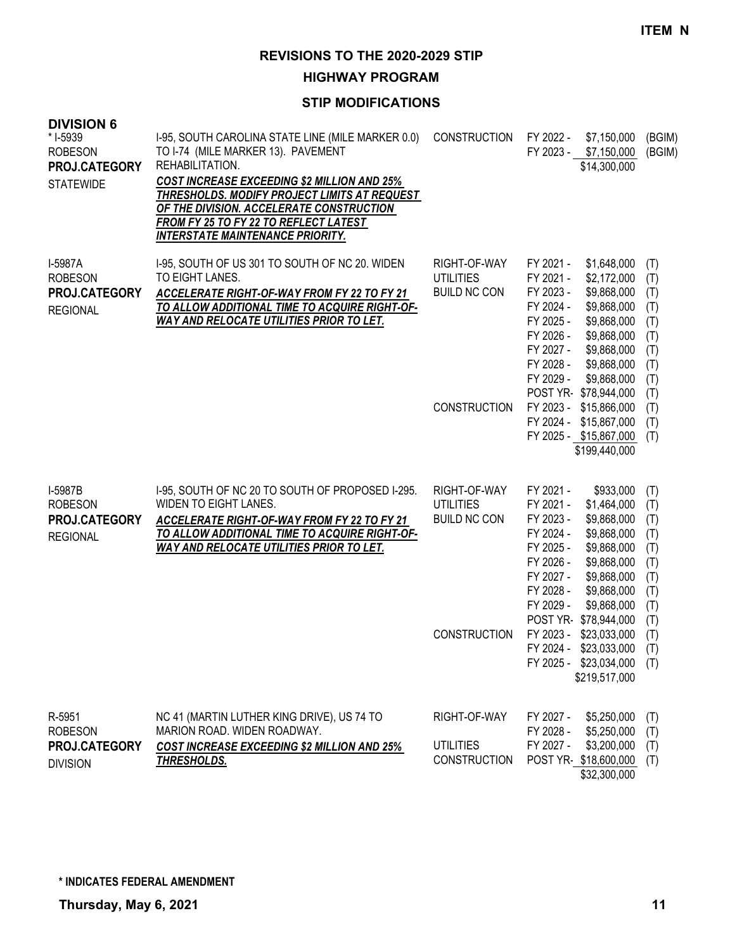**HIGHWAY PROGRAM**

| <b>DIVISION 6</b><br>* I-5939<br><b>ROBESON</b><br>PROJ.CATEGORY<br><b>STATEWIDE</b> | 1-95, SOUTH CAROLINA STATE LINE (MILE MARKER 0.0)<br>TO I-74 (MILE MARKER 13). PAVEMENT<br>REHABILITATION.<br><b>COST INCREASE EXCEEDING \$2 MILLION AND 25%</b><br>THRESHOLDS. MODIFY PROJECT LIMITS AT REQUEST<br>OF THE DIVISION. ACCELERATE CONSTRUCTION<br>FROM FY 25 TO FY 22 TO REFLECT LATEST<br><b>INTERSTATE MAINTENANCE PRIORITY.</b> | <b>CONSTRUCTION</b>                                                            | FY 2022 -<br>\$7,150,000<br>FY 2023 -<br>\$7,150,000<br>\$14,300,000                                                                                                                                                                                                                                                                                                                | (BGIM)<br>(BGIM)                                                                        |
|--------------------------------------------------------------------------------------|--------------------------------------------------------------------------------------------------------------------------------------------------------------------------------------------------------------------------------------------------------------------------------------------------------------------------------------------------|--------------------------------------------------------------------------------|-------------------------------------------------------------------------------------------------------------------------------------------------------------------------------------------------------------------------------------------------------------------------------------------------------------------------------------------------------------------------------------|-----------------------------------------------------------------------------------------|
| I-5987A<br><b>ROBESON</b><br>PROJ.CATEGORY<br><b>REGIONAL</b>                        | I-95, SOUTH OF US 301 TO SOUTH OF NC 20. WIDEN<br>TO EIGHT LANES.<br>ACCELERATE RIGHT-OF-WAY FROM FY 22 TO FY 21<br>TO ALLOW ADDITIONAL TIME TO ACQUIRE RIGHT-OF-<br><b>WAY AND RELOCATE UTILITIES PRIOR TO LET.</b>                                                                                                                             | RIGHT-OF-WAY<br><b>UTILITIES</b><br><b>BUILD NC CON</b><br><b>CONSTRUCTION</b> | FY 2021 -<br>\$1,648,000<br>FY 2021 -<br>\$2,172,000<br>FY 2023 -<br>\$9,868,000<br>FY 2024 -<br>\$9,868,000<br>FY 2025 -<br>\$9,868,000<br>FY 2026 -<br>\$9,868,000<br>FY 2027 -<br>\$9,868,000<br>FY 2028 -<br>\$9,868,000<br>FY 2029 -<br>\$9,868,000<br>POST YR \$78,944,000<br>FY 2023 - \$15,866,000<br>FY 2024 - \$15,867,000<br>FY 2025 - \$15,867,000<br>\$199,440,000     | (T)<br>(T)<br>(T)<br>(T)<br>(T)<br>(T)<br>(T)<br>(T)<br>(T)<br>(T)<br>(T)<br>(T)<br>(T) |
| I-5987B<br><b>ROBESON</b><br>PROJ.CATEGORY<br><b>REGIONAL</b>                        | I-95, SOUTH OF NC 20 TO SOUTH OF PROPOSED I-295.<br>WIDEN TO EIGHT LANES.<br>ACCELERATE RIGHT-OF-WAY FROM FY 22 TO FY 21<br>TO ALLOW ADDITIONAL TIME TO ACQUIRE RIGHT-OF-<br><b>WAY AND RELOCATE UTILITIES PRIOR TO LET.</b>                                                                                                                     | RIGHT-OF-WAY<br><b>UTILITIES</b><br><b>BUILD NC CON</b><br><b>CONSTRUCTION</b> | FY 2021 -<br>\$933,000<br>FY 2021 -<br>\$1,464,000<br>FY 2023 -<br>\$9,868,000<br>FY 2024 -<br>\$9,868,000<br>FY 2025 -<br>\$9,868,000<br>FY 2026 -<br>\$9,868,000<br>FY 2027 -<br>\$9,868,000<br>FY 2028 -<br>\$9,868,000<br>FY 2029 -<br>\$9,868,000<br>POST YR-\$78,944,000<br>FY 2023 -<br>\$23,033,000<br>FY 2024 -<br>\$23,033,000<br>FY 2025 - \$23,034,000<br>\$219,517,000 | (T)<br>(T)<br>(T)<br>(T)<br>(T)<br>(T)<br>(T)<br>(T)<br>(T)<br>(T)<br>(T)<br>(T)<br>(T) |
| R-5951<br><b>ROBESON</b><br>PROJ.CATEGORY<br><b>DIVISION</b>                         | NC 41 (MARTIN LUTHER KING DRIVE), US 74 TO<br>MARION ROAD. WIDEN ROADWAY.<br><b>COST INCREASE EXCEEDING \$2 MILLION AND 25%</b><br>THRESHOLDS.                                                                                                                                                                                                   | RIGHT-OF-WAY<br><b>UTILITIES</b><br><b>CONSTRUCTION</b>                        | FY 2027 -<br>\$5,250,000<br>\$5,250,000<br>FY 2028 -<br>FY 2027 -<br>\$3,200,000<br>POST YR \$18,600,000<br>\$32,300,000                                                                                                                                                                                                                                                            | (T)<br>(T)<br>(T)<br>(T)                                                                |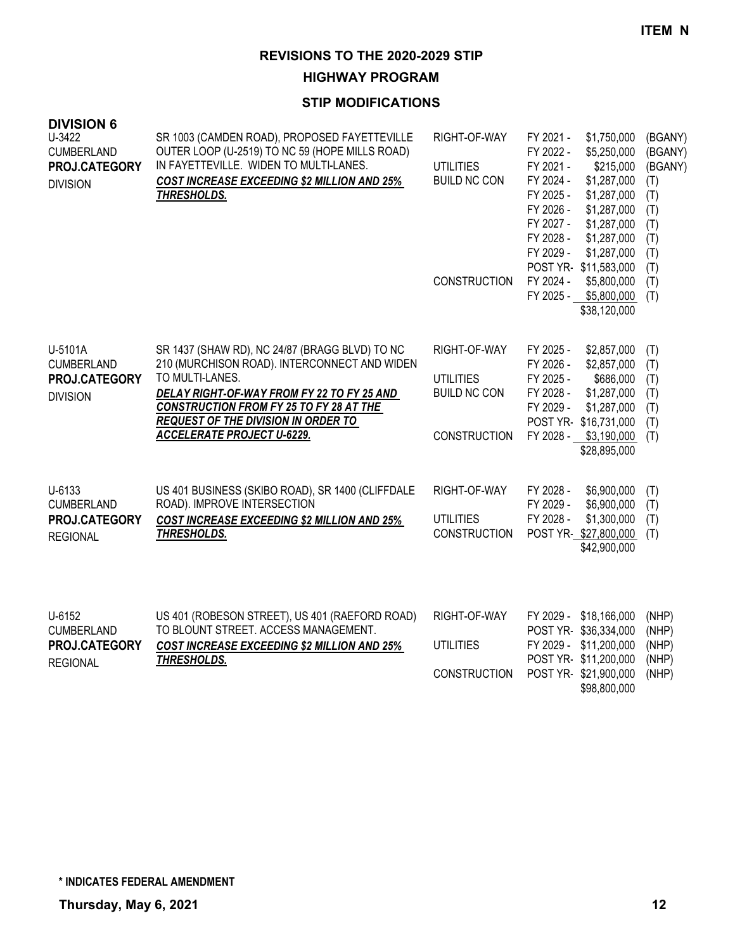#### **HIGHWAY PROGRAM**

| <b>DIVISION 6</b><br>U-3422                           | SR 1003 (CAMDEN ROAD), PROPOSED FAYETTEVILLE                                                                                                                  | RIGHT-OF-WAY                            | FY 2021 -                                                                                            | \$1,750,000                                                                                                                                | (BGANY)                                                             |
|-------------------------------------------------------|---------------------------------------------------------------------------------------------------------------------------------------------------------------|-----------------------------------------|------------------------------------------------------------------------------------------------------|--------------------------------------------------------------------------------------------------------------------------------------------|---------------------------------------------------------------------|
| <b>CUMBERLAND</b><br>PROJ.CATEGORY<br><b>DIVISION</b> | OUTER LOOP (U-2519) TO NC 59 (HOPE MILLS ROAD)<br>IN FAYETTEVILLE. WIDEN TO MULTI-LANES.<br><b>COST INCREASE EXCEEDING \$2 MILLION AND 25%</b><br>THRESHOLDS. | <b>UTILITIES</b><br><b>BUILD NC CON</b> | FY 2022 -<br>FY 2021 -<br>FY 2024 -<br>FY 2025 -<br>FY 2026 -<br>FY 2027 -<br>FY 2028 -<br>FY 2029 - | \$5,250,000<br>\$215,000<br>\$1,287,000<br>\$1,287,000<br>\$1,287,000<br>\$1,287,000<br>\$1,287,000<br>\$1,287,000<br>POST YR-\$11,583,000 | (BGANY)<br>(BGANY)<br>(T)<br>(T)<br>(T)<br>(T)<br>(T)<br>(T)<br>(T) |
|                                                       |                                                                                                                                                               | <b>CONSTRUCTION</b>                     | FY 2024 -<br>FY 2025 -                                                                               | \$5,800,000<br>\$5,800,000<br>\$38,120,000                                                                                                 | (T)<br>(T)                                                          |
| U-5101A<br><b>CUMBERLAND</b>                          | SR 1437 (SHAW RD), NC 24/87 (BRAGG BLVD) TO NC<br>210 (MURCHISON ROAD). INTERCONNECT AND WIDEN                                                                | RIGHT-OF-WAY                            | FY 2025 -<br>FY 2026 -                                                                               | \$2,857,000<br>\$2,857,000                                                                                                                 | (T)<br>(T)                                                          |
| PROJ.CATEGORY<br><b>DIVISION</b>                      | TO MULTI-LANES.<br>DELAY RIGHT-OF-WAY FROM FY 22 TO FY 25 AND<br><b>CONSTRUCTION FROM FY 25 TO FY 28 AT THE</b><br><b>REQUEST OF THE DIVISION IN ORDER TO</b> | <b>UTILITIES</b><br><b>BUILD NC CON</b> | FY 2025 -<br>FY 2028 -<br>FY 2029 -                                                                  | \$686,000<br>\$1,287,000<br>\$1,287,000<br>POST YR-\$16,731,000                                                                            | (T)<br>(T)<br>(T)<br>(T)                                            |
|                                                       | <b>ACCELERATE PROJECT U-6229.</b>                                                                                                                             | <b>CONSTRUCTION</b>                     |                                                                                                      | FY 2028 - \$3,190,000<br>\$28,895,000                                                                                                      | (T)                                                                 |
| U-6133<br><b>CUMBERLAND</b>                           | US 401 BUSINESS (SKIBO ROAD), SR 1400 (CLIFFDALE<br>ROAD). IMPROVE INTERSECTION                                                                               | RIGHT-OF-WAY                            | FY 2028 -<br>FY 2029 -                                                                               | \$6,900,000<br>\$6,900,000                                                                                                                 | (T)<br>(T)                                                          |
| PROJ.CATEGORY<br><b>REGIONAL</b>                      | <b>COST INCREASE EXCEEDING \$2 MILLION AND 25%</b><br><b>THRESHOLDS.</b>                                                                                      | <b>UTILITIES</b><br><b>CONSTRUCTION</b> | FY 2028 -                                                                                            | \$1,300,000<br>POST YR-\$27,800,000<br>\$42,900,000                                                                                        | (T)<br>(T)                                                          |
| U-6152<br><b>CUMBERLAND</b>                           | US 401 (ROBESON STREET), US 401 (RAEFORD ROAD)<br>TO BLOUNT STREET. ACCESS MANAGEMENT.                                                                        | RIGHT-OF-WAY                            | FY 2029 -                                                                                            | \$18,166,000<br>POST YR-\$36,334,000                                                                                                       | (NHP)<br>(NHP)                                                      |
| PROJ.CATEGORY<br><b>REGIONAL</b>                      | <b>COST INCREASE EXCEEDING \$2 MILLION AND 25%</b><br>THRESHOLDS.                                                                                             | <b>UTILITIES</b>                        | FY 2029 -                                                                                            | \$11,200,000<br>POST YR-\$11,200,000                                                                                                       | (NHP)<br>(NHP)                                                      |
|                                                       |                                                                                                                                                               | <b>CONSTRUCTION</b>                     |                                                                                                      | POST YR-\$21,900,000<br>\$98,800,000                                                                                                       | (NHP)                                                               |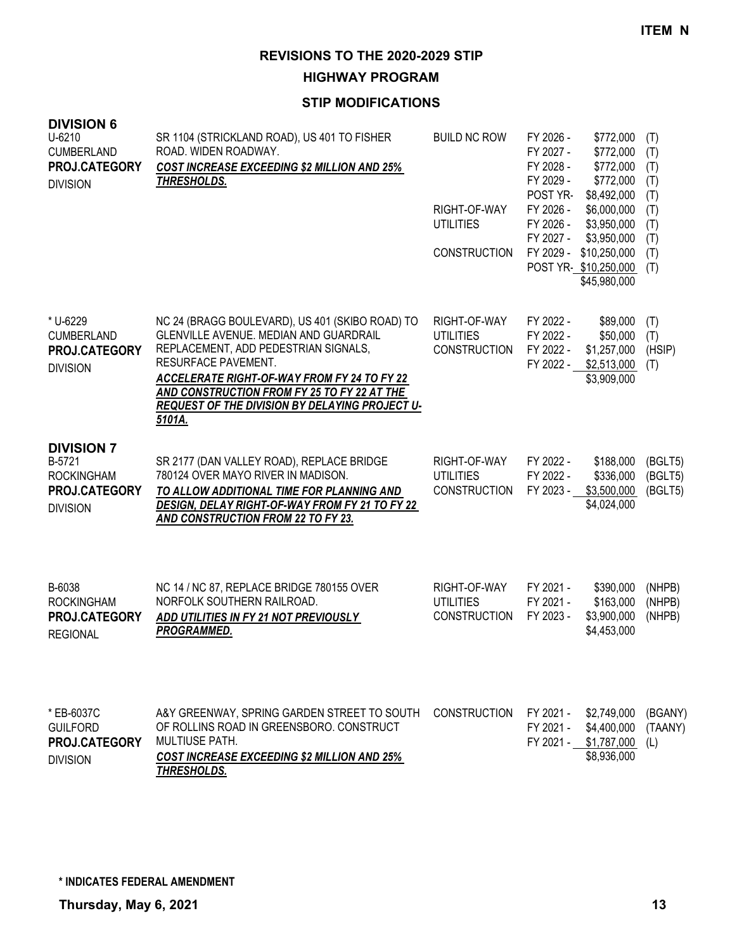**HIGHWAY PROGRAM**

| <b>DIVISION 6</b><br>$U-6210$<br><b>CUMBERLAND</b><br>PROJ.CATEGORY<br><b>DIVISION</b> | SR 1104 (STRICKLAND ROAD), US 401 TO FISHER<br>ROAD. WIDEN ROADWAY.<br><b>COST INCREASE EXCEEDING \$2 MILLION AND 25%</b><br>THRESHOLDS.                                                                                                                                                                           | <b>BUILD NC ROW</b><br>RIGHT-OF-WAY<br><b>UTILITIES</b><br><b>CONSTRUCTION</b> | FY 2026 -<br>FY 2027 -<br>FY 2028 -<br>FY 2029 -<br>POST YR-<br>FY 2026 -<br>FY 2026 -<br>FY 2027 -<br>FY 2029 - | \$772,000<br>\$772,000<br>\$772,000<br>\$772,000<br>\$8,492,000<br>\$6,000,000<br>\$3,950,000<br>\$3,950,000<br>\$10,250,000<br>POST YR \$10,250,000<br>\$45,980,000 | (T)<br>(T)<br>(T)<br>(T)<br>(T)<br>(T)<br>(T)<br>(T)<br>(T)<br>(T) |
|----------------------------------------------------------------------------------------|--------------------------------------------------------------------------------------------------------------------------------------------------------------------------------------------------------------------------------------------------------------------------------------------------------------------|--------------------------------------------------------------------------------|------------------------------------------------------------------------------------------------------------------|----------------------------------------------------------------------------------------------------------------------------------------------------------------------|--------------------------------------------------------------------|
| * U-6229<br><b>CUMBERLAND</b><br>PROJ.CATEGORY<br><b>DIVISION</b>                      | NC 24 (BRAGG BOULEVARD), US 401 (SKIBO ROAD) TO<br>GLENVILLE AVENUE. MEDIAN AND GUARDRAIL<br>REPLACEMENT, ADD PEDESTRIAN SIGNALS,<br>RESURFACE PAVEMENT.<br>ACCELERATE RIGHT-OF-WAY FROM FY 24 TO FY 22<br>AND CONSTRUCTION FROM FY 25 TO FY 22 AT THE<br>REQUEST OF THE DIVISION BY DELAYING PROJECT U-<br>5101A. | RIGHT-OF-WAY<br><b>UTILITIES</b><br><b>CONSTRUCTION</b>                        | FY 2022 -<br>FY 2022 -<br>FY 2022 -<br>FY 2022 -                                                                 | \$89,000<br>\$50,000<br>\$1,257,000<br>\$2,513,000<br>\$3,909,000                                                                                                    | (T)<br>(T)<br>(HSIP)<br>(T)                                        |
| <b>DIVISION 7</b><br>B-5721<br><b>ROCKINGHAM</b><br>PROJ.CATEGORY<br><b>DIVISION</b>   | SR 2177 (DAN VALLEY ROAD), REPLACE BRIDGE<br>780124 OVER MAYO RIVER IN MADISON.<br>TO ALLOW ADDITIONAL TIME FOR PLANNING AND<br>DESIGN, DELAY RIGHT-OF-WAY FROM FY 21 TO FY 22<br>AND CONSTRUCTION FROM 22 TO FY 23.                                                                                               | RIGHT-OF-WAY<br><b>UTILITIES</b><br><b>CONSTRUCTION</b>                        | FY 2022 -<br>FY 2022 -<br>FY 2023 -                                                                              | \$188,000<br>\$336,000<br>\$3,500,000<br>\$4,024,000                                                                                                                 | (BGLT5)<br>(BGLT5)<br>(BGLT5)                                      |
| B-6038<br><b>ROCKINGHAM</b><br>PROJ.CATEGORY<br><b>REGIONAL</b>                        | NC 14 / NC 87, REPLACE BRIDGE 780155 OVER<br>NORFOLK SOUTHERN RAILROAD.<br>ADD UTILITIES IN FY 21 NOT PREVIOUSLY<br><b>PROGRAMMED.</b>                                                                                                                                                                             | RIGHT-OF-WAY<br><b>UTILITIES</b><br><b>CONSTRUCTION</b>                        | FY 2021 -<br>FY 2021 -<br>FY 2023 -                                                                              | \$390,000<br>\$163,000<br>\$3,900,000<br>\$4,453,000                                                                                                                 | (NHPB)<br>(NHPB)<br>(NHPB)                                         |
| * EB-6037C<br><b>GUILFORD</b><br>PROJ.CATEGORY<br><b>DIVISION</b>                      | A&Y GREENWAY, SPRING GARDEN STREET TO SOUTH<br>OF ROLLINS ROAD IN GREENSBORO. CONSTRUCT<br><b>MULTIUSE PATH.</b><br><b>COST INCREASE EXCEEDING \$2 MILLION AND 25%</b><br>THRESHOLDS.                                                                                                                              | <b>CONSTRUCTION</b>                                                            | FY 2021 -<br>FY 2021 -<br>FY 2021 -                                                                              | \$2,749,000<br>\$4,400,000<br>\$1,787,000<br>\$8,936,000                                                                                                             | (BGANY)<br>(TAANY)<br>(L)                                          |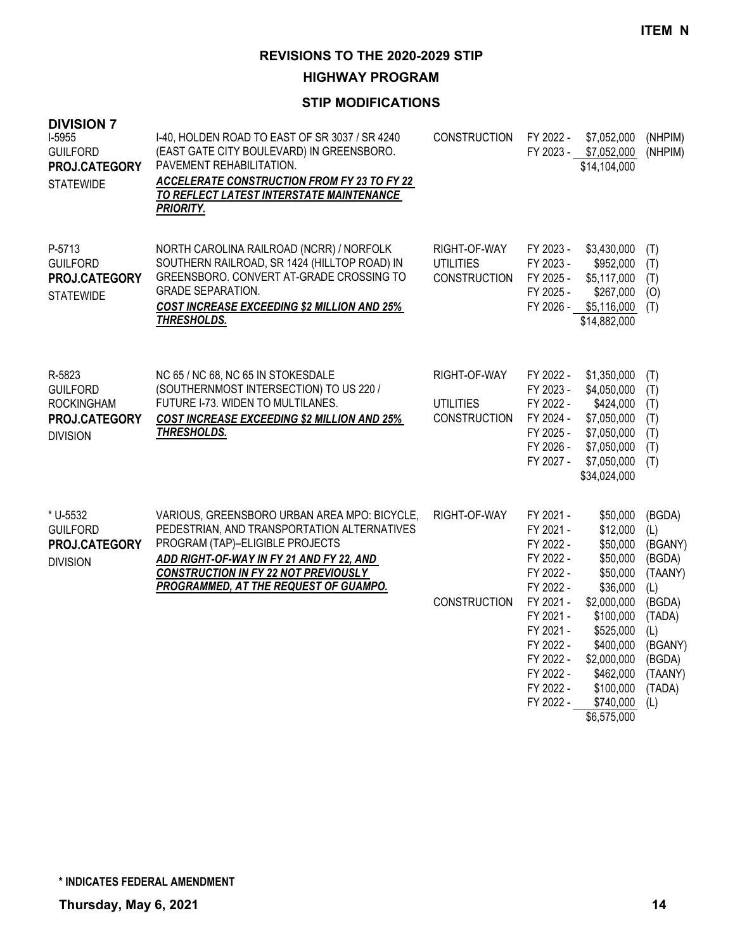**HIGHWAY PROGRAM**

| <b>DIVISION 7</b><br>I-5955<br><b>GUILFORD</b><br>PROJ.CATEGORY<br><b>STATEWIDE</b> | I-40, HOLDEN ROAD TO EAST OF SR 3037 / SR 4240<br>(EAST GATE CITY BOULEVARD) IN GREENSBORO.<br>PAVEMENT REHABILITATION.<br><b>ACCELERATE CONSTRUCTION FROM FY 23 TO FY 22</b><br>TO REFLECT LATEST INTERSTATE MAINTENANCE<br><b>PRIORITY.</b>                      | <b>CONSTRUCTION</b>                                     | FY 2022 -                                                                                                                                                                          | \$7,052,000<br>FY 2023 - \$7,052,000<br>\$14,104,000                                                                                                                                            | (NHPIM)<br>(NHPIM)                                                                                                               |
|-------------------------------------------------------------------------------------|--------------------------------------------------------------------------------------------------------------------------------------------------------------------------------------------------------------------------------------------------------------------|---------------------------------------------------------|------------------------------------------------------------------------------------------------------------------------------------------------------------------------------------|-------------------------------------------------------------------------------------------------------------------------------------------------------------------------------------------------|----------------------------------------------------------------------------------------------------------------------------------|
| P-5713<br><b>GUILFORD</b><br>PROJ.CATEGORY<br><b>STATEWIDE</b>                      | NORTH CAROLINA RAILROAD (NCRR) / NORFOLK<br>SOUTHERN RAILROAD, SR 1424 (HILLTOP ROAD) IN<br>GREENSBORO. CONVERT AT-GRADE CROSSING TO<br><b>GRADE SEPARATION.</b><br><b>COST INCREASE EXCEEDING \$2 MILLION AND 25%</b><br>THRESHOLDS.                              | RIGHT-OF-WAY<br><b>UTILITIES</b><br><b>CONSTRUCTION</b> | FY 2023 -<br>FY 2023 -<br>FY 2025 -<br>FY 2025 -                                                                                                                                   | \$3,430,000<br>\$952,000<br>\$5,117,000<br>\$267,000<br>FY 2026 - \$5,116,000<br>\$14,882,000                                                                                                   | (T)<br>(T)<br>(T)<br>(O)<br>(T)                                                                                                  |
| R-5823<br><b>GUILFORD</b><br><b>ROCKINGHAM</b><br>PROJ.CATEGORY<br><b>DIVISION</b>  | NC 65 / NC 68, NC 65 IN STOKESDALE<br>(SOUTHERNMOST INTERSECTION) TO US 220 /<br>FUTURE I-73. WIDEN TO MULTILANES.<br><b>COST INCREASE EXCEEDING \$2 MILLION AND 25%</b><br>THRESHOLDS.                                                                            | RIGHT-OF-WAY<br><b>UTILITIES</b><br><b>CONSTRUCTION</b> | FY 2022 -<br>FY 2023 -<br>FY 2022 -<br>FY 2024 -<br>FY 2025 -<br>FY 2026 -<br>FY 2027 -                                                                                            | \$1,350,000<br>\$4,050,000<br>\$424,000<br>\$7,050,000<br>\$7,050,000<br>\$7,050,000<br>\$7,050,000<br>\$34,024,000                                                                             | (T)<br>(T)<br>(T)<br>(T)<br>(T)<br>(T)<br>(T)                                                                                    |
| * U-5532<br><b>GUILFORD</b><br>PROJ.CATEGORY<br><b>DIVISION</b>                     | VARIOUS, GREENSBORO URBAN AREA MPO: BICYCLE,<br>PEDESTRIAN, AND TRANSPORTATION ALTERNATIVES<br>PROGRAM (TAP)-ELIGIBLE PROJECTS<br>ADD RIGHT-OF-WAY IN FY 21 AND FY 22, AND<br><b>CONSTRUCTION IN FY 22 NOT PREVIOUSLY</b><br>PROGRAMMED, AT THE REQUEST OF GUAMPO. | RIGHT-OF-WAY<br><b>CONSTRUCTION</b>                     | FY 2021 -<br>FY 2021 -<br>FY 2022 -<br>FY 2022 -<br>FY 2022 -<br>FY 2022 -<br>FY 2021 -<br>FY 2021 -<br>FY 2021 -<br>FY 2022 -<br>FY 2022 -<br>FY 2022 -<br>FY 2022 -<br>FY 2022 - | \$50,000<br>\$12,000<br>\$50,000<br>\$50,000<br>\$50,000<br>\$36,000<br>\$2,000,000<br>\$100,000<br>\$525,000<br>\$400,000<br>\$2,000,000<br>\$462,000<br>\$100,000<br>\$740,000<br>\$6,575,000 | (BGDA)<br>(L)<br>(BGANY)<br>(BGDA)<br>(TAANY)<br>(L)<br>(BGDA)<br>(TADA)<br>(L)<br>(BGANY)<br>(BGDA)<br>(TAANY)<br>(TADA)<br>(1) |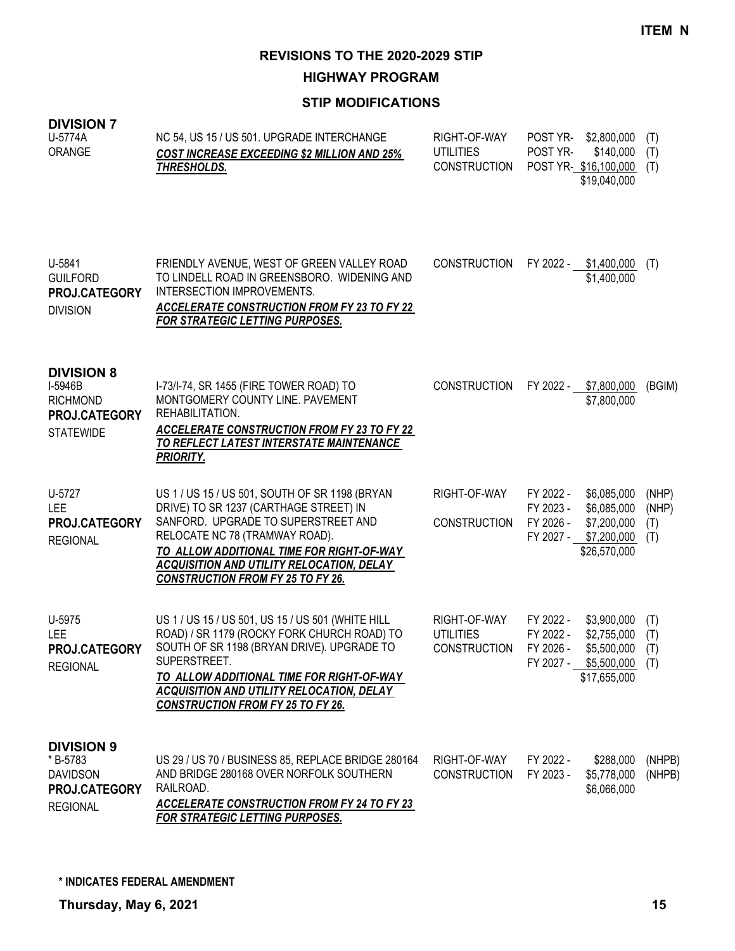**HIGHWAY PROGRAM**

#### **STIP MODIFICATIONS**

# **DIVISION 7**

| U-5774A<br>ORANGE                                                                    | NC 54, US 15 / US 501. UPGRADE INTERCHANGE<br><b>COST INCREASE EXCEEDING \$2 MILLION AND 25%</b><br>THRESHOLDS.                                                                                                                                                                                                | RIGHT-OF-WAY<br><b>UTILITIES</b><br><b>CONSTRUCTION</b> | POST YR-<br>POST YR-                             | \$2,800,000<br>\$140,000<br>POST YR \$16,100,000<br>\$19,040,000         | (T)<br>(T)<br>(T)            |
|--------------------------------------------------------------------------------------|----------------------------------------------------------------------------------------------------------------------------------------------------------------------------------------------------------------------------------------------------------------------------------------------------------------|---------------------------------------------------------|--------------------------------------------------|--------------------------------------------------------------------------|------------------------------|
| U-5841<br><b>GUILFORD</b><br>PROJ.CATEGORY<br><b>DIVISION</b>                        | FRIENDLY AVENUE, WEST OF GREEN VALLEY ROAD<br>TO LINDELL ROAD IN GREENSBORO. WIDENING AND<br>INTERSECTION IMPROVEMENTS.<br><b>ACCELERATE CONSTRUCTION FROM FY 23 TO FY 22</b><br>FOR STRATEGIC LETTING PURPOSES.                                                                                               | <b>CONSTRUCTION</b>                                     | FY 2022 -                                        | \$1,400,000<br>\$1,400,000                                               | (T)                          |
| <b>DIVISION 8</b><br>I-5946B<br><b>RICHMOND</b><br>PROJ.CATEGORY<br><b>STATEWIDE</b> | I-73/I-74, SR 1455 (FIRE TOWER ROAD) TO<br>MONTGOMERY COUNTY LINE. PAVEMENT<br>REHABILITATION.<br><b>ACCELERATE CONSTRUCTION FROM FY 23 TO FY 22</b><br><u>TO REFLECT LATEST INTERSTATE MAINTENANCE</u><br><b>PRIORITY.</b>                                                                                    | <b>CONSTRUCTION</b>                                     |                                                  | FY 2022 - \$7,800,000<br>\$7,800,000                                     | (BGIM)                       |
| U-5727<br><b>LEE</b><br>PROJ.CATEGORY<br><b>REGIONAL</b>                             | US 1 / US 15 / US 501, SOUTH OF SR 1198 (BRYAN<br>DRIVE) TO SR 1237 (CARTHAGE STREET) IN<br>SANFORD. UPGRADE TO SUPERSTREET AND<br>RELOCATE NC 78 (TRAMWAY ROAD).<br>TO ALLOW ADDITIONAL TIME FOR RIGHT-OF-WAY<br><b>ACQUISITION AND UTILITY RELOCATION, DELAY</b><br><b>CONSTRUCTION FROM FY 25 TO FY 26.</b> | RIGHT-OF-WAY<br><b>CONSTRUCTION</b>                     | FY 2022 -<br>FY 2023 -<br>FY 2026 -<br>FY 2027 - | \$6,085,000<br>\$6,085,000<br>\$7,200,000<br>\$7,200,000<br>\$26,570,000 | (NHP)<br>(NHP)<br>(T)<br>(T) |
| U-5975<br>LEE<br>PROJ.CATEGORY<br><b>REGIONAL</b>                                    | US 1 / US 15 / US 501, US 15 / US 501 (WHITE HILL<br>ROAD) / SR 1179 (ROCKY FORK CHURCH ROAD) TO<br>SOUTH OF SR 1198 (BRYAN DRIVE). UPGRADE TO<br>SUPERSTREET.<br>TO ALLOW ADDITIONAL TIME FOR RIGHT-OF-WAY<br><b>ACQUISITION AND UTILITY RELOCATION, DELAY</b><br><b>CONSTRUCTION FROM FY 25 TO FY 26.</b>    | RIGHT-OF-WAY<br><b>UTILITIES</b><br><b>CONSTRUCTION</b> | FY 2022 -<br>FY 2022 -<br>FY 2026 -<br>FY 2027 - | \$3,900,000<br>\$2,755,000<br>\$5,500,000<br>\$5,500,000<br>\$17,655,000 | (T)<br>(T)<br>(T)<br>(T)     |
| <b>DIVISION 9</b><br>*B-5783<br><b>DAVIDSON</b><br>PROJ.CATEGORY<br><b>REGIONAL</b>  | US 29 / US 70 / BUSINESS 85, REPLACE BRIDGE 280164<br>AND BRIDGE 280168 OVER NORFOLK SOUTHERN<br>RAILROAD.<br><b>ACCELERATE CONSTRUCTION FROM FY 24 TO FY 23</b>                                                                                                                                               | RIGHT-OF-WAY<br><b>CONSTRUCTION</b>                     | FY 2022 -<br>FY 2023 -                           | \$288,000<br>\$5,778,000<br>\$6,066,000                                  | (NHPB)<br>(NHPB)             |

*FOR STRATEGIC LETTING PURPOSES.*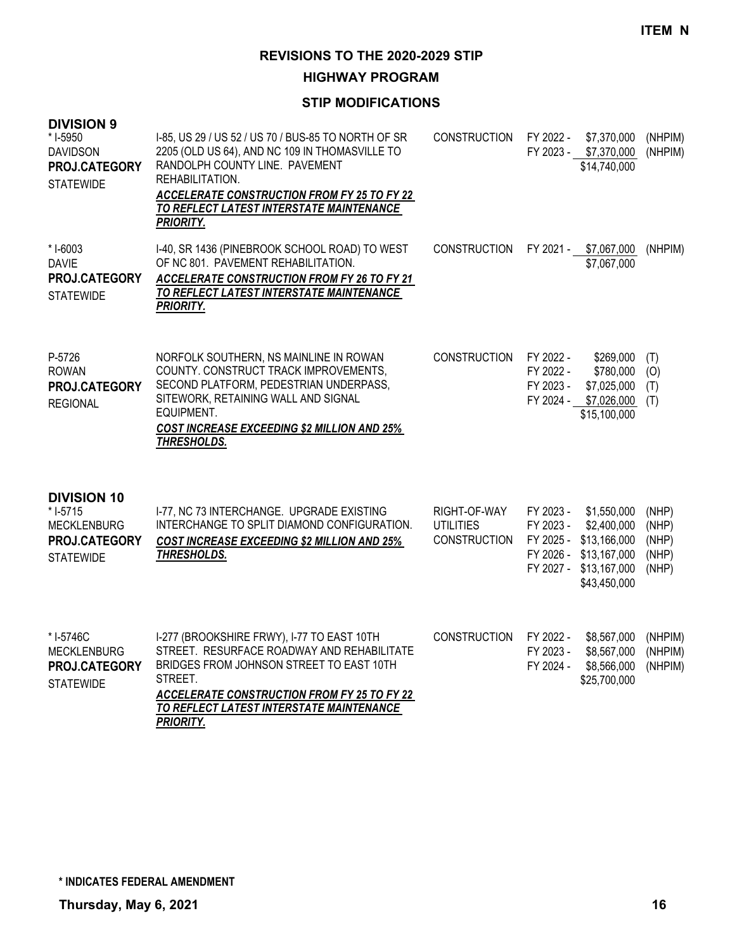**HIGHWAY PROGRAM**

| <b>DIVISION 9</b><br>* I-5950<br><b>DAVIDSON</b><br>PROJ.CATEGORY<br><b>STATEWIDE</b>     | I-85, US 29 / US 52 / US 70 / BUS-85 TO NORTH OF SR<br>2205 (OLD US 64), AND NC 109 IN THOMASVILLE TO<br>RANDOLPH COUNTY LINE. PAVEMENT<br>REHABILITATION.<br><b>ACCELERATE CONSTRUCTION FROM FY 25 TO FY 22</b><br>TO REFLECT LATEST INTERSTATE MAINTENANCE<br><b>PRIORITY.</b> | <b>CONSTRUCTION</b>                                     | FY 2022 -                                                     | \$7,370,000<br>FY 2023 - \$7,370,000<br>\$14,740,000                                       | (NHPIM)<br>(NHPIM)                        |
|-------------------------------------------------------------------------------------------|----------------------------------------------------------------------------------------------------------------------------------------------------------------------------------------------------------------------------------------------------------------------------------|---------------------------------------------------------|---------------------------------------------------------------|--------------------------------------------------------------------------------------------|-------------------------------------------|
| * I-6003<br><b>DAVIE</b><br>PROJ.CATEGORY<br><b>STATEWIDE</b>                             | I-40, SR 1436 (PINEBROOK SCHOOL ROAD) TO WEST<br>OF NC 801. PAVEMENT REHABILITATION.<br>ACCELERATE CONSTRUCTION FROM FY 26 TO FY 21<br>TO REFLECT LATEST INTERSTATE MAINTENANCE<br><b>PRIORITY.</b>                                                                              | <b>CONSTRUCTION</b>                                     |                                                               | FY 2021 - \$7,067,000<br>\$7,067,000                                                       | (NHPIM)                                   |
| P-5726<br><b>ROWAN</b><br>PROJ.CATEGORY<br><b>REGIONAL</b>                                | NORFOLK SOUTHERN, NS MAINLINE IN ROWAN<br>COUNTY. CONSTRUCT TRACK IMPROVEMENTS,<br>SECOND PLATFORM, PEDESTRIAN UNDERPASS,<br>SITEWORK, RETAINING WALL AND SIGNAL<br>EQUIPMENT.<br><b>COST INCREASE EXCEEDING \$2 MILLION AND 25%</b><br>THRESHOLDS.                              | <b>CONSTRUCTION</b>                                     | FY 2022 -<br>FY 2022 -<br>FY 2023 -<br>FY 2024 -              | \$269,000<br>\$780,000<br>\$7,025,000<br>\$7,026,000<br>\$15,100,000                       | (T)<br>(O)<br>(T)<br>(T)                  |
| <b>DIVISION 10</b><br>* I-5715<br><b>MECKLENBURG</b><br>PROJ.CATEGORY<br><b>STATEWIDE</b> | I-77, NC 73 INTERCHANGE. UPGRADE EXISTING<br>INTERCHANGE TO SPLIT DIAMOND CONFIGURATION.<br><b>COST INCREASE EXCEEDING \$2 MILLION AND 25%</b><br>THRESHOLDS.                                                                                                                    | RIGHT-OF-WAY<br><b>UTILITIES</b><br><b>CONSTRUCTION</b> | FY 2023 -<br>FY 2023 -<br>FY 2025 -<br>FY 2026 -<br>FY 2027 - | \$1,550,000<br>\$2,400,000<br>\$13,166,000<br>\$13,167,000<br>\$13,167,000<br>\$43,450,000 | (NHP)<br>(NHP)<br>(NHP)<br>(NHP)<br>(NHP) |
| * I-5746C<br><b>MECKLENBURG</b><br>PROJ.CATEGORY<br><b>STATEWIDE</b>                      | I-277 (BROOKSHIRE FRWY), I-77 TO EAST 10TH<br>STREET. RESURFACE ROADWAY AND REHABILITATE<br>BRIDGES FROM JOHNSON STREET TO EAST 10TH<br>STREET.<br><b>ACCELERATE CONSTRUCTION FROM FY 25 TO FY 22</b><br>TO REFLECT LATEST INTERSTATE MAINTENANCE<br><b>PRIORITY.</b>            | <b>CONSTRUCTION</b>                                     | FY 2022 -<br>FY 2023 -<br>FY 2024 -                           | \$8,567,000<br>\$8,567,000<br>\$8,566,000<br>\$25,700,000                                  | (NHPIM)<br>(NHPIM)<br>(NHPIM)             |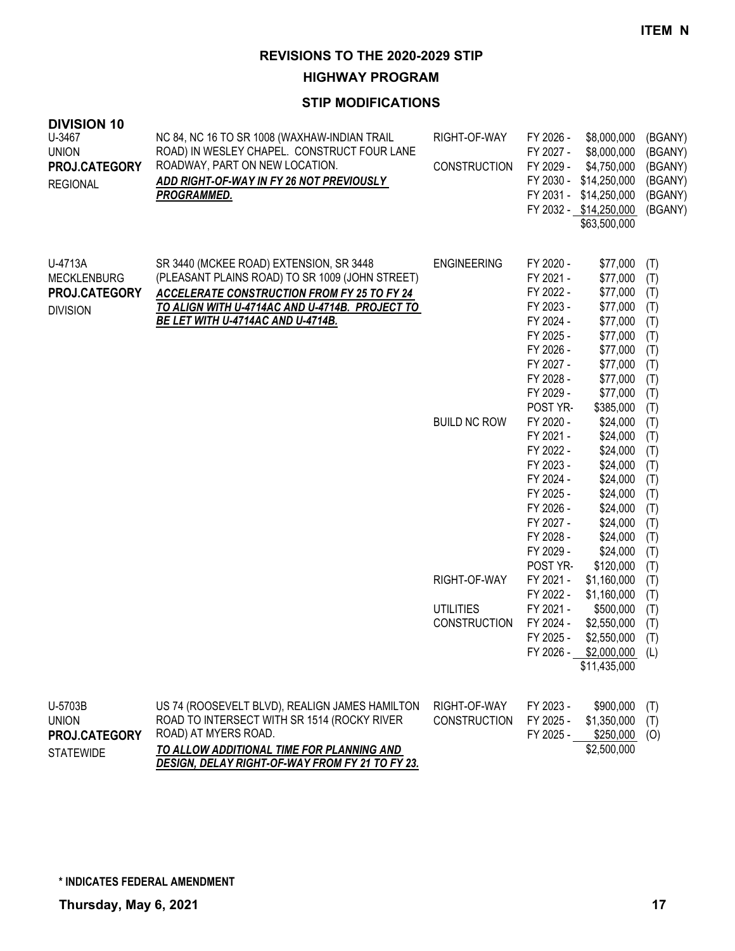#### **HIGHWAY PROGRAM**

| <b>DIVISION 10</b><br>U-3467<br><b>UNION</b><br>PROJ.CATEGORY<br><b>REGIONAL</b> | NC 84, NC 16 TO SR 1008 (WAXHAW-INDIAN TRAIL<br>ROAD) IN WESLEY CHAPEL. CONSTRUCT FOUR LANE<br>ROADWAY, PART ON NEW LOCATION.<br>ADD RIGHT-OF-WAY IN FY 26 NOT PREVIOUSLY<br>PROGRAMMED.                                                | RIGHT-OF-WAY<br><b>CONSTRUCTION</b>                     | FY 2026 -<br>FY 2027 -<br>FY 2029 -<br>FY 2030 -                                                                                           | \$8,000,000<br>\$8,000,000<br>\$4,750,000<br>\$14,250,000<br>FY 2031 - \$14,250,000<br>FY 2032 - \$14,250,000<br>\$63,500,000     | (BGANY)<br>(BGANY)<br>(BGANY)<br>(BGANY)<br>(BGANY)<br>(BGANY)            |
|----------------------------------------------------------------------------------|-----------------------------------------------------------------------------------------------------------------------------------------------------------------------------------------------------------------------------------------|---------------------------------------------------------|--------------------------------------------------------------------------------------------------------------------------------------------|-----------------------------------------------------------------------------------------------------------------------------------|---------------------------------------------------------------------------|
| U-4713A<br><b>MECKLENBURG</b><br>PROJ.CATEGORY<br><b>DIVISION</b>                | SR 3440 (MCKEE ROAD) EXTENSION, SR 3448<br>(PLEASANT PLAINS ROAD) TO SR 1009 (JOHN STREET)<br><b>ACCELERATE CONSTRUCTION FROM FY 25 TO FY 24</b><br>TO ALIGN WITH U-4714AC AND U-4714B. PROJECT TO<br>BE LET WITH U-4714AC AND U-4714B. | <b>ENGINEERING</b>                                      | FY 2020 -<br>FY 2021 -<br>FY 2022 -<br>FY 2023 -<br>FY 2024 -<br>FY 2025 -<br>FY 2026 -<br>FY 2027 -<br>FY 2028 -<br>FY 2029 -<br>POST YR- | \$77,000<br>\$77,000<br>\$77,000<br>\$77,000<br>\$77,000<br>\$77,000<br>\$77,000<br>\$77,000<br>\$77,000<br>\$77,000<br>\$385,000 | (T)<br>(T)<br>(T)<br>(T)<br>(T)<br>(T)<br>(T)<br>(T)<br>(T)<br>(T)<br>(T) |
|                                                                                  |                                                                                                                                                                                                                                         | <b>BUILD NC ROW</b>                                     | FY 2020 -<br>FY 2021 -<br>FY 2022 -<br>FY 2023 -<br>FY 2024 -<br>FY 2025 -<br>FY 2026 -<br>FY 2027 -<br>FY 2028 -<br>FY 2029 -<br>POST YR- | \$24,000<br>\$24,000<br>\$24,000<br>\$24,000<br>\$24,000<br>\$24,000<br>\$24,000<br>\$24,000<br>\$24,000<br>\$24,000<br>\$120,000 | (T)<br>(T)<br>(T)<br>(T)<br>(T)<br>(T)<br>(T)<br>(T)<br>(T)<br>(T)<br>(T) |
|                                                                                  |                                                                                                                                                                                                                                         | RIGHT-OF-WAY<br><b>UTILITIES</b><br><b>CONSTRUCTION</b> | FY 2021 -<br>FY 2022 -<br>FY 2021 -<br>FY 2024 -<br>FY 2025 -<br>FY 2026 -                                                                 | \$1,160,000<br>\$1,160,000<br>\$500,000<br>\$2,550,000<br>\$2,550,000<br>\$2,000,000<br>\$11,435,000                              | (T)<br>(T)<br>(T)<br>(T)<br>(T)<br>(L)                                    |
| U-5703B<br><b>UNION</b><br>PROJ.CATEGORY<br><b>STATEWIDE</b>                     | US 74 (ROOSEVELT BLVD), REALIGN JAMES HAMILTON<br>ROAD TO INTERSECT WITH SR 1514 (ROCKY RIVER<br>ROAD) AT MYERS ROAD.<br>TO ALLOW ADDITIONAL TIME FOR PLANNING AND<br>DESIGN, DELAY RIGHT-OF-WAY FROM FY 21 TO FY 23.                   | RIGHT-OF-WAY<br><b>CONSTRUCTION</b>                     | FY 2023 -<br>FY 2025 -<br>FY 2025 -                                                                                                        | \$900,000<br>\$1,350,000<br>\$250,000<br>\$2,500,000                                                                              | (T)<br>(T)<br>(0)                                                         |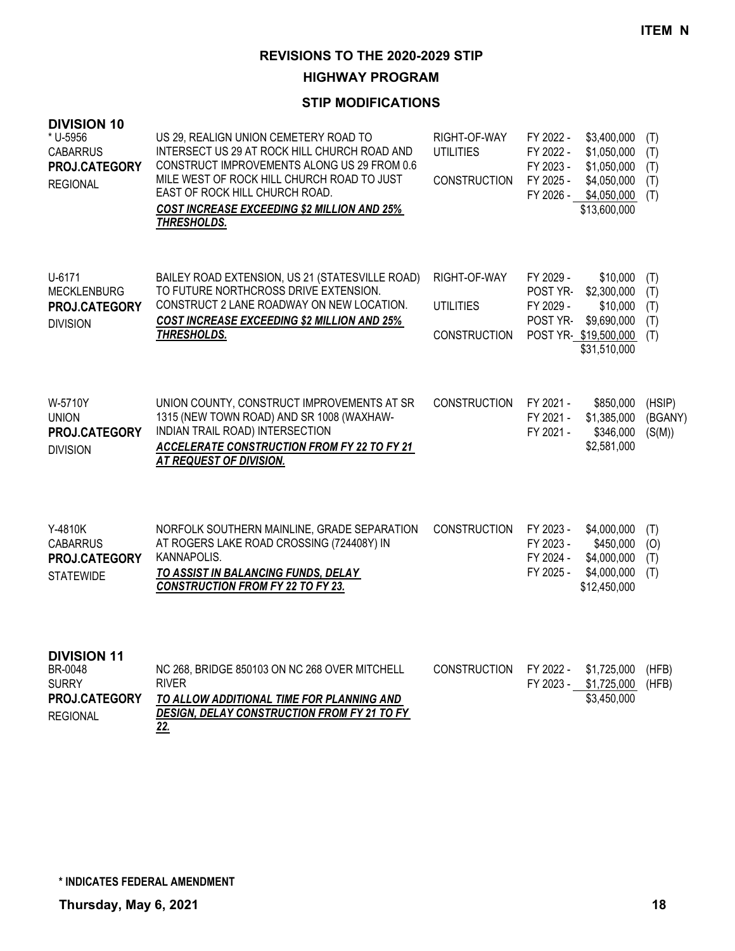**HIGHWAY PROGRAM**

| <b>DIVISION 10</b><br>* U-5956<br><b>CABARRUS</b><br>PROJ.CATEGORY<br><b>REGIONAL</b> | US 29, REALIGN UNION CEMETERY ROAD TO<br>INTERSECT US 29 AT ROCK HILL CHURCH ROAD AND<br>CONSTRUCT IMPROVEMENTS ALONG US 29 FROM 0.6<br>MILE WEST OF ROCK HILL CHURCH ROAD TO JUST<br>EAST OF ROCK HILL CHURCH ROAD.<br><b>COST INCREASE EXCEEDING \$2 MILLION AND 25%</b><br>THRESHOLDS. | RIGHT-OF-WAY<br><b>UTILITIES</b><br><b>CONSTRUCTION</b> | FY 2022 -<br>\$3,400,000<br>FY 2022 -<br>\$1,050,000<br>FY 2023 -<br>\$1,050,000<br>FY 2025 -<br>\$4,050,000<br>FY 2026 -<br>\$4,050,000<br>\$13,600,000 | (T)<br>(T)<br>(T)<br>(T)<br>(T) |
|---------------------------------------------------------------------------------------|-------------------------------------------------------------------------------------------------------------------------------------------------------------------------------------------------------------------------------------------------------------------------------------------|---------------------------------------------------------|----------------------------------------------------------------------------------------------------------------------------------------------------------|---------------------------------|
| U-6171<br><b>MECKLENBURG</b><br>PROJ.CATEGORY<br><b>DIVISION</b>                      | BAILEY ROAD EXTENSION, US 21 (STATESVILLE ROAD)<br>TO FUTURE NORTHCROSS DRIVE EXTENSION.<br>CONSTRUCT 2 LANE ROADWAY ON NEW LOCATION.<br><b>COST INCREASE EXCEEDING \$2 MILLION AND 25%</b><br><b>THRESHOLDS.</b>                                                                         | RIGHT-OF-WAY<br><b>UTILITIES</b><br><b>CONSTRUCTION</b> | FY 2029 -<br>\$10,000<br>POST YR-<br>\$2,300,000<br>FY 2029 -<br>\$10,000<br>POST YR-<br>\$9,690,000<br>POST YR-\$19,500,000<br>\$31,510,000             | (T)<br>(T)<br>(T)<br>(T)<br>(T) |
| W-5710Y<br><b>UNION</b><br>PROJ.CATEGORY<br><b>DIVISION</b>                           | UNION COUNTY, CONSTRUCT IMPROVEMENTS AT SR<br>1315 (NEW TOWN ROAD) AND SR 1008 (WAXHAW-<br>INDIAN TRAIL ROAD) INTERSECTION<br><b>ACCELERATE CONSTRUCTION FROM FY 22 TO FY 21</b><br>AT REQUEST OF DIVISION.                                                                               | CONSTRUCTION                                            | FY 2021 -<br>\$850,000<br>FY 2021 -<br>\$1,385,000<br>FY 2021 -<br>\$346,000<br>\$2,581,000                                                              | (HSIP)<br>(BGANY)<br>(S(M))     |
| Y-4810K<br><b>CABARRUS</b><br>PROJ.CATEGORY<br><b>STATEWIDE</b>                       | NORFOLK SOUTHERN MAINLINE, GRADE SEPARATION<br>AT ROGERS LAKE ROAD CROSSING (724408Y) IN<br>KANNAPOLIS.<br>TO ASSIST IN BALANCING FUNDS, DELAY<br><b>CONSTRUCTION FROM FY 22 TO FY 23.</b>                                                                                                | <b>CONSTRUCTION</b>                                     | FY 2023 -<br>\$4,000,000<br>FY 2023 -<br>\$450,000<br>FY 2024 -<br>\$4,000,000<br>FY 2025 -<br>\$4,000,000<br>\$12,450,000                               | (T)<br>(O)<br>(T)<br>(T)        |
| <b>DIVISION 11</b><br>BR-0048<br><b>SURRY</b><br>PROJ.CATEGORY<br><b>REGIONAL</b>     | NC 268, BRIDGE 850103 ON NC 268 OVER MITCHELL<br><b>RIVER</b><br>TO ALLOW ADDITIONAL TIME FOR PLANNING AND<br>DESIGN, DELAY CONSTRUCTION FROM FY 21 TO FY<br>22.                                                                                                                          | <b>CONSTRUCTION</b>                                     | FY 2022 -<br>\$1,725,000<br>FY 2023 -<br>\$1,725,000<br>\$3,450,000                                                                                      | (HFB)<br>(HFB)                  |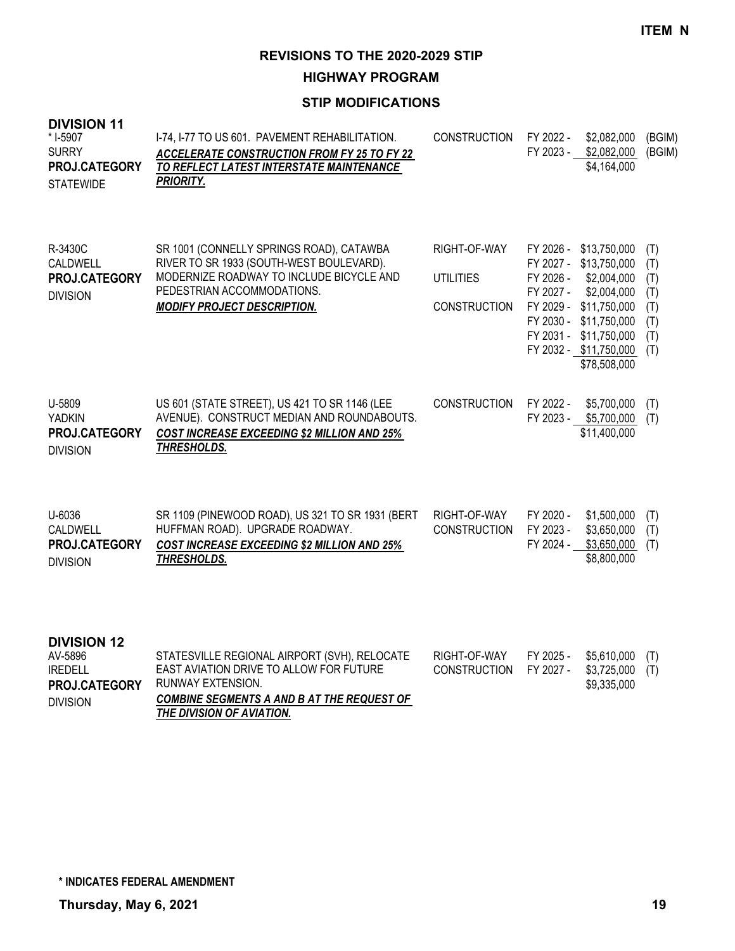**HIGHWAY PROGRAM**

| <b>DIVISION 11</b><br>* I-5907<br><b>SURRY</b><br>PROJ.CATEGORY<br><b>STATEWIDE</b> | I-74, I-77 TO US 601. PAVEMENT REHABILITATION.<br><b>ACCELERATE CONSTRUCTION FROM FY 25 TO FY 22</b><br>TO REFLECT LATEST INTERSTATE MAINTENANCE<br><b>PRIORITY.</b>                                 | <b>CONSTRUCTION</b>                                     | FY 2022 -<br>FY 2023 -              | \$2,082,000<br>\$2,082,000<br>\$4,164,000                                                                                                                                                    | (BGIM)<br>(BGIM)                                     |
|-------------------------------------------------------------------------------------|------------------------------------------------------------------------------------------------------------------------------------------------------------------------------------------------------|---------------------------------------------------------|-------------------------------------|----------------------------------------------------------------------------------------------------------------------------------------------------------------------------------------------|------------------------------------------------------|
| R-3430C<br><b>CALDWELL</b><br>PROJ.CATEGORY<br><b>DIVISION</b>                      | SR 1001 (CONNELLY SPRINGS ROAD), CATAWBA<br>RIVER TO SR 1933 (SOUTH-WEST BOULEVARD).<br>MODERNIZE ROADWAY TO INCLUDE BICYCLE AND<br>PEDESTRIAN ACCOMMODATIONS.<br><b>MODIFY PROJECT DESCRIPTION.</b> | RIGHT-OF-WAY<br><b>UTILITIES</b><br><b>CONSTRUCTION</b> | FY 2026 -<br>FY 2027 -<br>FY 2031 - | FY 2026 - \$13,750,000<br>FY 2027 - \$13,750,000<br>\$2,004,000<br>\$2,004,000<br>FY 2029 - \$11,750,000<br>FY 2030 - \$11,750,000<br>\$11,750,000<br>FY 2032 - \$11,750,000<br>\$78,508,000 | (T)<br>(T)<br>(T)<br>(T)<br>(T)<br>(T)<br>(T)<br>(T) |
| U-5809<br><b>YADKIN</b><br>PROJ.CATEGORY<br><b>DIVISION</b>                         | US 601 (STATE STREET), US 421 TO SR 1146 (LEE<br>AVENUE). CONSTRUCT MEDIAN AND ROUNDABOUTS.<br><b>COST INCREASE EXCEEDING \$2 MILLION AND 25%</b><br><b>THRESHOLDS.</b>                              | <b>CONSTRUCTION</b>                                     | FY 2022 -<br>FY 2023 -              | \$5,700,000<br>\$5,700,000<br>\$11,400,000                                                                                                                                                   | (T)<br>(T)                                           |
| U-6036<br><b>CALDWELL</b><br>PROJ.CATEGORY<br><b>DIVISION</b>                       | SR 1109 (PINEWOOD ROAD), US 321 TO SR 1931 (BERT<br>HUFFMAN ROAD). UPGRADE ROADWAY.<br><b>COST INCREASE EXCEEDING \$2 MILLION AND 25%</b><br>THRESHOLDS.                                             | RIGHT-OF-WAY<br><b>CONSTRUCTION</b>                     | FY 2020 -<br>FY 2023 -<br>FY 2024 - | \$1,500,000<br>\$3,650,000<br>\$3,650,000<br>\$8,800,000                                                                                                                                     | (T)<br>(T)<br>(T)                                    |
| <b>DIVISION 12</b><br>AV-5896<br><b>IREDELL</b><br>PROJ.CATEGORY<br><b>DIVISION</b> | STATESVILLE REGIONAL AIRPORT (SVH), RELOCATE<br>EAST AVIATION DRIVE TO ALLOW FOR FUTURE<br>RUNWAY EXTENSION.<br><b>COMBINE SEGMENTS A AND B AT THE REQUEST OF</b><br>THE DIVISION OF AVIATION.       | RIGHT-OF-WAY<br><b>CONSTRUCTION</b>                     | FY 2025 -<br>FY 2027 -              | \$5,610,000<br>\$3,725,000<br>\$9,335,000                                                                                                                                                    | (T)<br>(T)                                           |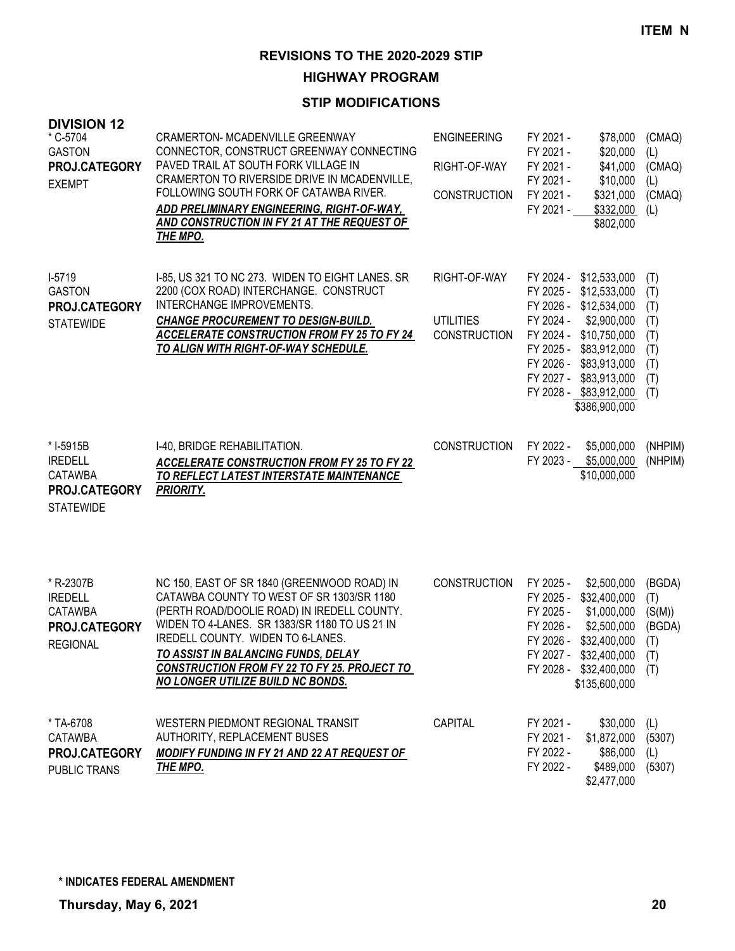**HIGHWAY PROGRAM**

| <b>DIVISION 12</b><br>* C-5704<br><b>GASTON</b><br>PROJ.CATEGORY<br><b>EXEMPT</b>  | <b>CRAMERTON- MCADENVILLE GREENWAY</b><br>CONNECTOR, CONSTRUCT GREENWAY CONNECTING<br>PAVED TRAIL AT SOUTH FORK VILLAGE IN<br>CRAMERTON TO RIVERSIDE DRIVE IN MCADENVILLE,<br>FOLLOWING SOUTH FORK OF CATAWBA RIVER.<br>ADD PRELIMINARY ENGINEERING, RIGHT-OF-WAY,<br>AND CONSTRUCTION IN FY 21 AT THE REQUEST OF<br>THE MPO.                                    | <b>ENGINEERING</b><br>RIGHT-OF-WAY<br><b>CONSTRUCTION</b> | FY 2021 -<br>\$78,000<br>FY 2021 -<br>\$20,000<br>FY 2021 -<br>\$41,000<br>FY 2021 -<br>\$10,000<br>FY 2021 -<br>\$321,000<br>FY 2021 -<br>\$332,000<br>\$802,000                                                                                         | (CMAQ)<br>(L)<br>(CMAQ)<br>(1)<br>(CMAQ)<br>(L)             |
|------------------------------------------------------------------------------------|------------------------------------------------------------------------------------------------------------------------------------------------------------------------------------------------------------------------------------------------------------------------------------------------------------------------------------------------------------------|-----------------------------------------------------------|-----------------------------------------------------------------------------------------------------------------------------------------------------------------------------------------------------------------------------------------------------------|-------------------------------------------------------------|
| $I-5719$<br><b>GASTON</b><br>PROJ.CATEGORY<br><b>STATEWIDE</b>                     | I-85, US 321 TO NC 273. WIDEN TO EIGHT LANES. SR<br>2200 (COX ROAD) INTERCHANGE. CONSTRUCT<br>INTERCHANGE IMPROVEMENTS.<br><b>CHANGE PROCUREMENT TO DESIGN-BUILD.</b><br><b>ACCELERATE CONSTRUCTION FROM FY 25 TO FY 24</b><br>TO ALIGN WITH RIGHT-OF-WAY SCHEDULE.                                                                                              | RIGHT-OF-WAY<br><b>UTILITIES</b><br><b>CONSTRUCTION</b>   | FY 2024 - \$12,533,000<br>FY 2025 - \$12,533,000<br>FY 2026 - \$12,534,000<br>FY 2024 -<br>\$2,900,000<br>FY 2024 - \$10,750,000<br>FY 2025 - \$83,912,000<br>FY 2026 - \$83,913,000<br>FY 2027 - \$83,913,000<br>FY 2028 - \$83,912,000<br>\$386,900,000 | (T)<br>(T)<br>(T)<br>(T)<br>(T)<br>(T)<br>(T)<br>(T)<br>(T) |
| * I-5915B<br><b>IREDELL</b><br><b>CATAWBA</b><br>PROJ.CATEGORY<br><b>STATEWIDE</b> | I-40, BRIDGE REHABILITATION.<br><b>ACCELERATE CONSTRUCTION FROM FY 25 TO FY 22</b><br>TO REFLECT LATEST INTERSTATE MAINTENANCE<br><b>PRIORITY.</b>                                                                                                                                                                                                               | <b>CONSTRUCTION</b>                                       | FY 2022 -<br>\$5,000,000<br>\$5,000,000<br>FY 2023 -<br>\$10,000,000                                                                                                                                                                                      | (NHPIM)<br>(NHPIM)                                          |
| * R-2307B<br><b>IREDELL</b><br><b>CATAWBA</b><br>PROJ.CATEGORY<br><b>REGIONAL</b>  | NC 150, EAST OF SR 1840 (GREENWOOD ROAD) IN<br>CATAWBA COUNTY TO WEST OF SR 1303/SR 1180<br>(PERTH ROAD/DOOLIE ROAD) IN IREDELL COUNTY.<br>WIDEN TO 4-LANES. SR 1383/SR 1180 TO US 21 IN<br>IREDELL COUNTY. WIDEN TO 6-LANES.<br>TO ASSIST IN BALANCING FUNDS, DELAY<br><b>CONSTRUCTION FROM FY 22 TO FY 25. PROJECT TO</b><br>NO LONGER UTILIZE BUILD NC BONDS. | <b>CONSTRUCTION</b>                                       | FY 2025 -<br>\$2,500,000<br>FY 2025 -<br>\$32,400,000<br>FY 2025 -<br>\$1,000,000<br>FY 2026 -<br>\$2,500,000<br>FY 2026 -<br>\$32,400,000<br>FY 2027 - \$32,400,000 (T)<br>FY 2028 - \$32,400,000<br>\$135,600,000                                       | (BGDA)<br>(T)<br>(S(M))<br>(BGDA)<br>(T)<br>(T)             |
| * TA-6708<br>CATAWBA<br>PROJ.CATEGORY<br>PUBLIC TRANS                              | WESTERN PIEDMONT REGIONAL TRANSIT<br><b>AUTHORITY, REPLACEMENT BUSES</b><br><b>MODIFY FUNDING IN FY 21 AND 22 AT REQUEST OF</b><br>THE MPO.                                                                                                                                                                                                                      | CAPITAL                                                   | FY 2021 -<br>\$30,000<br>FY 2021 -<br>\$1,872,000<br>FY 2022 -<br>\$86,000<br>FY 2022 -<br>\$489,000<br>\$2,477,000                                                                                                                                       | (L)<br>(5307)<br>(L)<br>(5307)                              |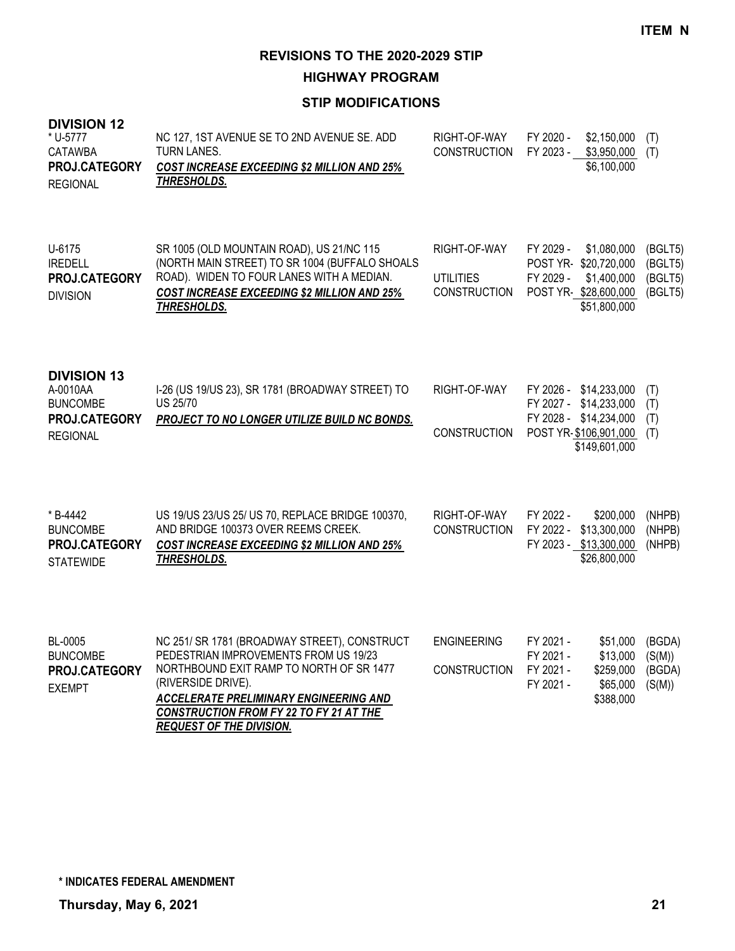**HIGHWAY PROGRAM**

| <b>DIVISION 12</b><br>* U-5777<br><b>CATAWBA</b><br>PROJ.CATEGORY<br><b>REGIONAL</b>  | NC 127, 1ST AVENUE SE TO 2ND AVENUE SE. ADD<br><b>TURN LANES.</b><br><b>COST INCREASE EXCEEDING \$2 MILLION AND 25%</b><br>THRESHOLDS.                                                                                                                                                 | RIGHT-OF-WAY<br><b>CONSTRUCTION</b>                     | FY 2020 -<br>FY 2023 -                                                                              | \$2,150,000<br>\$3,950,000<br>\$6,100,000                  | (T)<br>(T)                               |
|---------------------------------------------------------------------------------------|----------------------------------------------------------------------------------------------------------------------------------------------------------------------------------------------------------------------------------------------------------------------------------------|---------------------------------------------------------|-----------------------------------------------------------------------------------------------------|------------------------------------------------------------|------------------------------------------|
| U-6175<br><b>IREDELL</b><br>PROJ.CATEGORY<br><b>DIVISION</b>                          | SR 1005 (OLD MOUNTAIN ROAD), US 21/NC 115<br>(NORTH MAIN STREET) TO SR 1004 (BUFFALO SHOALS<br>ROAD). WIDEN TO FOUR LANES WITH A MEDIAN.<br><b>COST INCREASE EXCEEDING \$2 MILLION AND 25%</b><br>THRESHOLDS.                                                                          | RIGHT-OF-WAY<br><b>UTILITIES</b><br><b>CONSTRUCTION</b> | FY 2029 -<br>POST YR-\$20,720,000<br>FY 2029 -<br>POST YR-\$28,600,000                              | \$1,080,000<br>\$1,400,000<br>\$51,800,000                 | (BGLT5)<br>(BGLT5)<br>(BGLT5)<br>(BGLT5) |
| <b>DIVISION 13</b><br>A-0010AA<br><b>BUNCOMBE</b><br>PROJ.CATEGORY<br><b>REGIONAL</b> | I-26 (US 19/US 23), SR 1781 (BROADWAY STREET) TO<br><b>US 25/70</b><br><b>PROJECT TO NO LONGER UTILIZE BUILD NC BONDS.</b>                                                                                                                                                             | RIGHT-OF-WAY<br><b>CONSTRUCTION</b>                     | FY 2026 - \$14,233,000<br>FY 2027 - \$14,233,000<br>FY 2028 - \$14,234,000<br>POST YR-\$106,901,000 | \$149,601,000                                              | (T)<br>(T)<br>(T)<br>(T)                 |
| * B-4442<br><b>BUNCOMBE</b><br>PROJ.CATEGORY<br><b>STATEWIDE</b>                      | US 19/US 23/US 25/ US 70, REPLACE BRIDGE 100370,<br>AND BRIDGE 100373 OVER REEMS CREEK.<br><b>COST INCREASE EXCEEDING \$2 MILLION AND 25%</b><br>THRESHOLDS.                                                                                                                           | RIGHT-OF-WAY<br><b>CONSTRUCTION</b>                     | FY 2022 -<br>FY 2022 - \$13,300,000<br>FY 2023 - \$13,300,000                                       | \$200,000<br>\$26,800,000                                  | (NHPB)<br>(NHPB)<br>(NHPB)               |
| BL-0005<br><b>BUNCOMBE</b><br>PROJ.CATEGORY<br><b>EXEMPT</b>                          | NC 251/ SR 1781 (BROADWAY STREET), CONSTRUCT<br>PEDESTRIAN IMPROVEMENTS FROM US 19/23<br>NORTHBOUND EXIT RAMP TO NORTH OF SR 1477<br>(RIVERSIDE DRIVE).<br><b>ACCELERATE PRELIMINARY ENGINEERING AND</b><br>CONSTRUCTION FROM FY 22 TO FY 21 AT THE<br><b>REQUEST OF THE DIVISION.</b> | <b>ENGINEERING</b><br><b>CONSTRUCTION</b>               | FY 2021 -<br>FY 2021 -<br>FY 2021 -<br>FY 2021 -                                                    | \$51,000<br>\$13,000<br>\$259,000<br>\$65,000<br>\$388,000 | (BGDA)<br>(S(M))<br>(BGDA)<br>(S(M))     |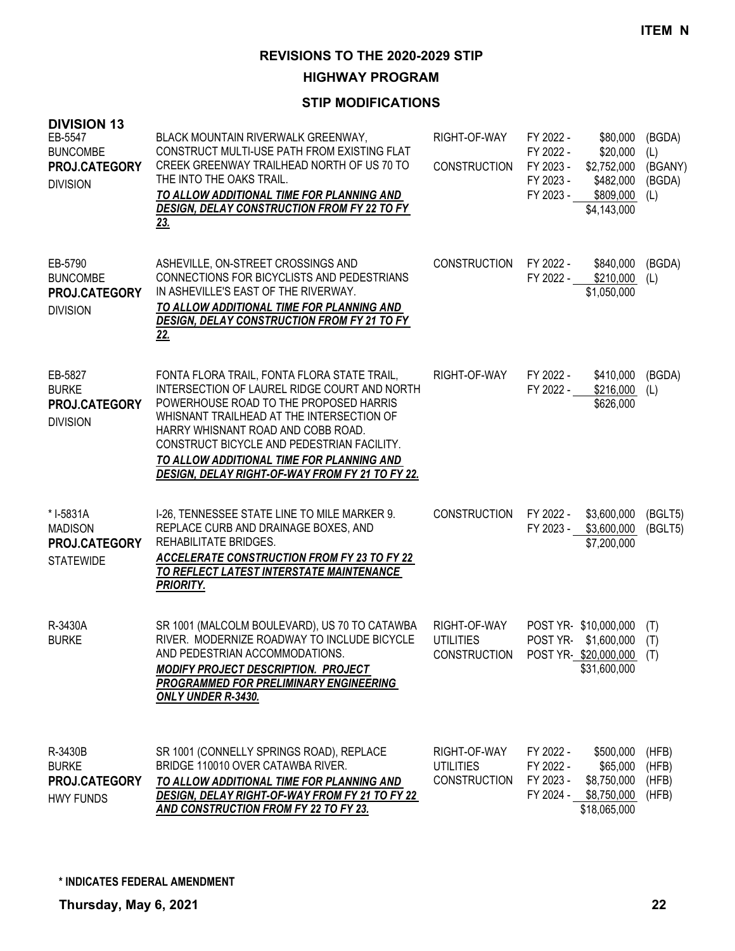**HIGHWAY PROGRAM**

| <b>DIVISION 13</b><br>EB-5547<br><b>BUNCOMBE</b><br>PROJ.CATEGORY<br><b>DIVISION</b> | BLACK MOUNTAIN RIVERWALK GREENWAY,<br>CONSTRUCT MULTI-USE PATH FROM EXISTING FLAT<br>CREEK GREENWAY TRAILHEAD NORTH OF US 70 TO<br>THE INTO THE OAKS TRAIL.<br>TO ALLOW ADDITIONAL TIME FOR PLANNING AND<br><b>DESIGN, DELAY CONSTRUCTION FROM FY 22 TO FY</b><br><u>23.</u>                                                                                           | RIGHT-OF-WAY<br><b>CONSTRUCTION</b>                                       | FY 2022 -<br>FY 2022 -<br>FY 2023 -<br>FY 2023 -<br>FY 2023 - | \$80,000<br>\$20,000<br>\$2,752,000<br>\$482,000<br>\$809,000<br>\$4,143,000 | (BGDA)<br>(L)<br>(BGANY)<br>(BGDA)<br>(L) |
|--------------------------------------------------------------------------------------|------------------------------------------------------------------------------------------------------------------------------------------------------------------------------------------------------------------------------------------------------------------------------------------------------------------------------------------------------------------------|---------------------------------------------------------------------------|---------------------------------------------------------------|------------------------------------------------------------------------------|-------------------------------------------|
| EB-5790<br><b>BUNCOMBE</b><br>PROJ.CATEGORY<br><b>DIVISION</b>                       | ASHEVILLE, ON-STREET CROSSINGS AND<br>CONNECTIONS FOR BICYCLISTS AND PEDESTRIANS<br>IN ASHEVILLE'S EAST OF THE RIVERWAY.<br>TO ALLOW ADDITIONAL TIME FOR PLANNING AND<br>DESIGN, DELAY CONSTRUCTION FROM FY 21 TO FY<br>22.                                                                                                                                            | <b>CONSTRUCTION</b>                                                       | FY 2022 -<br>FY 2022 -                                        | \$840,000<br>\$210,000<br>\$1,050,000                                        | (BGDA)<br>(L)                             |
| EB-5827<br><b>BURKE</b><br>PROJ.CATEGORY<br><b>DIVISION</b>                          | FONTA FLORA TRAIL, FONTA FLORA STATE TRAIL,<br>INTERSECTION OF LAUREL RIDGE COURT AND NORTH<br>POWERHOUSE ROAD TO THE PROPOSED HARRIS<br>WHISNANT TRAILHEAD AT THE INTERSECTION OF<br>HARRY WHISNANT ROAD AND COBB ROAD.<br>CONSTRUCT BICYCLE AND PEDESTRIAN FACILITY.<br>TO ALLOW ADDITIONAL TIME FOR PLANNING AND<br>DESIGN, DELAY RIGHT-OF-WAY FROM FY 21 TO FY 22. | RIGHT-OF-WAY                                                              | FY 2022 -<br>FY 2022 -                                        | \$410,000<br>\$216,000<br>\$626,000                                          | (BGDA)<br>(L)                             |
| * I-5831A<br><b>MADISON</b><br>PROJ.CATEGORY<br><b>STATEWIDE</b>                     | I-26, TENNESSEE STATE LINE TO MILE MARKER 9.<br>REPLACE CURB AND DRAINAGE BOXES, AND<br>REHABILITATE BRIDGES.<br><b>ACCELERATE CONSTRUCTION FROM FY 23 TO FY 22</b><br>TO REFLECT LATEST INTERSTATE MAINTENANCE<br><b>PRIORITY.</b>                                                                                                                                    | <b>CONSTRUCTION</b>                                                       | FY 2022 -                                                     | \$3,600,000<br>FY 2023 - \$3,600,000<br>\$7,200,000                          | (BGLT5)<br>(BGLT5)                        |
| R-3430A<br><b>BURKE</b>                                                              | SR 1001 (MALCOLM BOULEVARD), US 70 TO CATAWBA<br>RIVER. MODERNIZE ROADWAY TO INCLUDE BICYCLE<br>AND PEDESTRIAN ACCOMMODATIONS.<br><b>MODIFY PROJECT DESCRIPTION. PROJECT</b><br>PROGRAMMED FOR PRELIMINARY ENGINEERING<br><b>ONLY UNDER R-3430.</b>                                                                                                                    | RIGHT-OF-WAY<br><b>UTILITIES</b><br>CONSTRUCTION POST YR-\$20,000,000 (T) |                                                               | POST YR-\$10,000,000<br>POST YR-\$1,600,000<br>\$31,600,000                  | (T)<br>(T)                                |
| R-3430B<br><b>BURKE</b><br>PROJ.CATEGORY<br><b>HWY FUNDS</b>                         | SR 1001 (CONNELLY SPRINGS ROAD), REPLACE<br>BRIDGE 110010 OVER CATAWBA RIVER.<br>TO ALLOW ADDITIONAL TIME FOR PLANNING AND<br>DESIGN, DELAY RIGHT-OF-WAY FROM FY 21 TO FY 22<br>AND CONSTRUCTION FROM FY 22 TO FY 23.                                                                                                                                                  | RIGHT-OF-WAY<br><b>UTILITIES</b><br><b>CONSTRUCTION</b>                   | FY 2022 -<br>FY 2022 -<br>FY 2023 -<br>FY 2024 -              | \$500,000<br>\$65,000<br>\$8,750,000<br>\$8,750,000<br>\$18,065,000          | (HFB)<br>(HFB)<br>(HFB)<br>(HFB)          |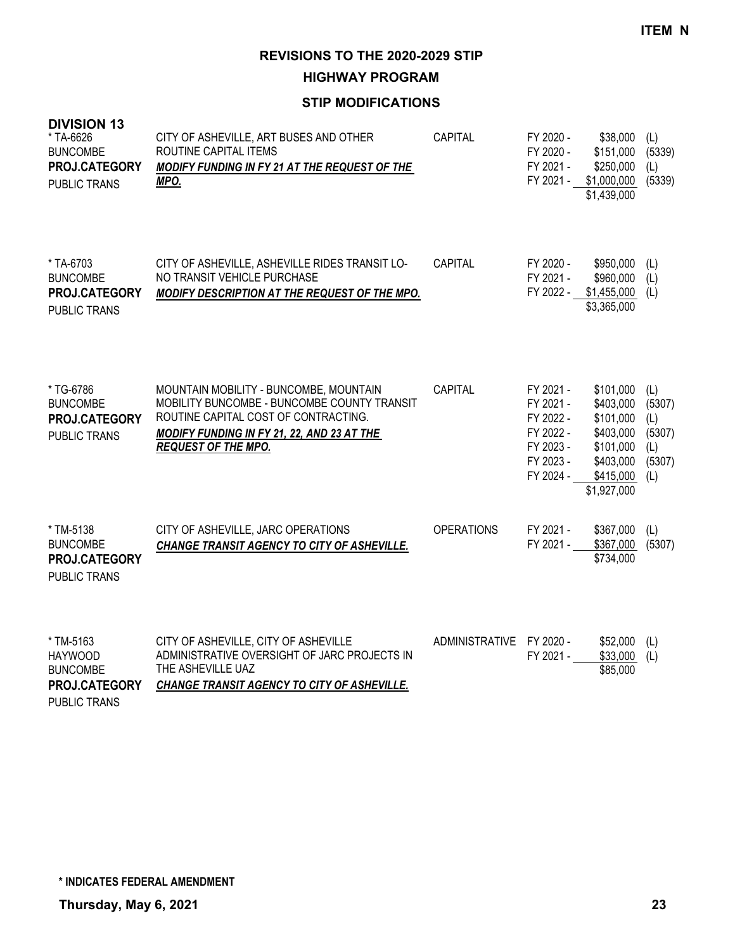**HIGHWAY PROGRAM**

#### **STIP MODIFICATIONS**

| <b>DIVISION 13</b><br>* TA-6626<br><b>BUNCOMBE</b><br>PROJ.CATEGORY<br>PUBLIC TRANS    | CITY OF ASHEVILLE, ART BUSES AND OTHER<br>ROUTINE CAPITAL ITEMS<br>MODIFY FUNDING IN FY 21 AT THE REQUEST OF THE<br>MPO.                                                                                  | CAPITAL                  | FY 2020 -<br>FY 2020 -<br>FY 2021 -<br>FY 2021 -                                        | \$38,000<br>\$151,000<br>\$250,000<br>\$1,000,000<br>\$1,439,000                                       | (L)<br>(5339)<br>(L)<br>(5339)                         |
|----------------------------------------------------------------------------------------|-----------------------------------------------------------------------------------------------------------------------------------------------------------------------------------------------------------|--------------------------|-----------------------------------------------------------------------------------------|--------------------------------------------------------------------------------------------------------|--------------------------------------------------------|
| * TA-6703<br><b>BUNCOMBE</b><br>PROJ.CATEGORY<br>PUBLIC TRANS                          | CITY OF ASHEVILLE, ASHEVILLE RIDES TRANSIT LO-<br>NO TRANSIT VEHICLE PURCHASE<br>MODIFY DESCRIPTION AT THE REQUEST OF THE MPO.                                                                            | CAPITAL                  | FY 2020 -<br>FY 2021 -<br>FY 2022 -                                                     | \$950,000<br>\$960,000<br>$$1,455,000$ (L)<br>\$3,365,000                                              | (L)<br>(L)                                             |
| * TG-6786<br><b>BUNCOMBE</b><br>PROJ.CATEGORY<br>PUBLIC TRANS                          | MOUNTAIN MOBILITY - BUNCOMBE, MOUNTAIN<br>MOBILITY BUNCOMBE - BUNCOMBE COUNTY TRANSIT<br>ROUTINE CAPITAL COST OF CONTRACTING.<br>MODIFY FUNDING IN FY 21, 22, AND 23 AT THE<br><b>REQUEST OF THE MPO.</b> | <b>CAPITAL</b>           | FY 2021 -<br>FY 2021 -<br>FY 2022 -<br>FY 2022 -<br>FY 2023 -<br>FY 2023 -<br>FY 2024 - | \$101,000<br>\$403,000<br>\$101,000<br>\$403,000<br>\$101,000<br>\$403,000<br>\$415,000<br>\$1,927,000 | (L)<br>(5307)<br>(L)<br>(5307)<br>(L)<br>(5307)<br>(L) |
| * TM-5138<br><b>BUNCOMBE</b><br>PROJ.CATEGORY<br>PUBLIC TRANS                          | CITY OF ASHEVILLE, JARC OPERATIONS<br>CHANGE TRANSIT AGENCY TO CITY OF ASHEVILLE.                                                                                                                         | <b>OPERATIONS</b>        | FY 2021 -<br>FY 2021 -                                                                  | \$367,000<br>\$367,000<br>\$734,000                                                                    | (L)<br>(5307)                                          |
| * TM-5163<br><b>HAYWOOD</b><br><b>BUNCOMBE</b><br>PROJ.CATEGORY<br><b>PUBLIC TRANS</b> | CITY OF ASHEVILLE, CITY OF ASHEVILLE<br>ADMINISTRATIVE OVERSIGHT OF JARC PROJECTS IN<br>THE ASHEVILLE UAZ<br>CHANGE TRANSIT AGENCY TO CITY OF ASHEVILLE.                                                  | ADMINISTRATIVE FY 2020 - | FY 2021 -                                                                               | \$52,000<br>\$33,000<br>\$85,000                                                                       | (L)<br>(L)                                             |

**\* INDICATES FEDERAL AMENDMENT**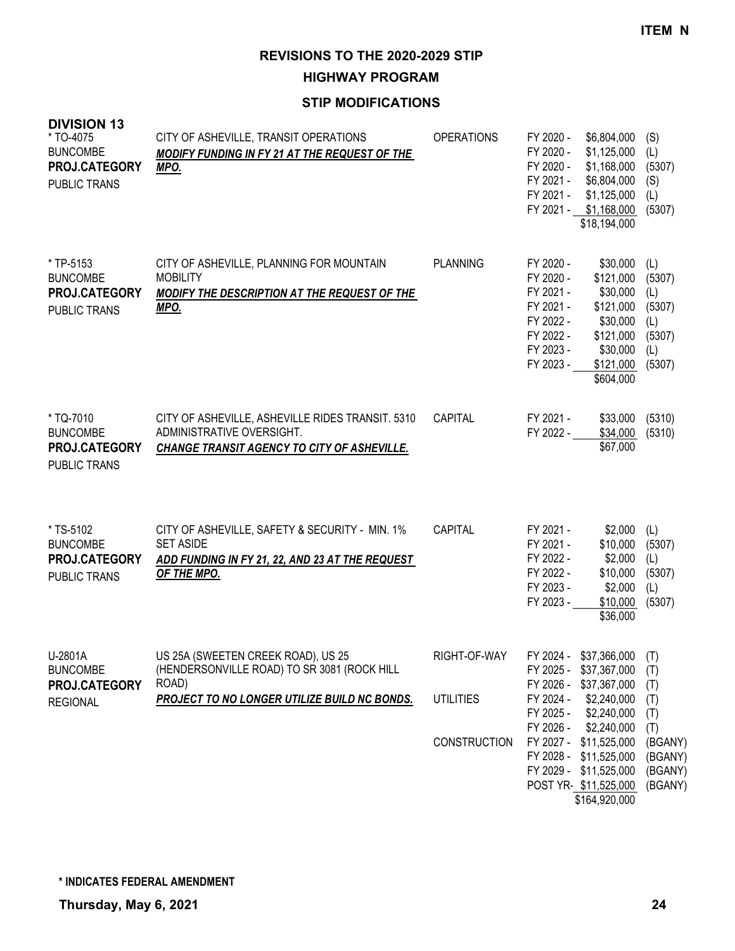**HIGHWAY PROGRAM**

| <b>DIVISION 13</b><br>* TO-4075<br><b>BUNCOMBE</b><br>PROJ.CATEGORY<br><b>PUBLIC TRANS</b> | CITY OF ASHEVILLE, TRANSIT OPERATIONS<br>MODIFY FUNDING IN FY 21 AT THE REQUEST OF THE<br>MPO.                                             | <b>OPERATIONS</b>                | FY 2020 -<br>\$6,804,000<br>FY 2020 -<br>\$1,125,000<br>FY 2020 -<br>\$1,168,000<br>FY 2021 -<br>\$6,804,000<br>FY 2021 -<br>\$1,125,000<br>FY 2021 - \$1,168,000<br>\$18,194,000                                     | (S)<br>(L)<br>(5307)<br>(S)<br>(L)<br>(5307)                     |
|--------------------------------------------------------------------------------------------|--------------------------------------------------------------------------------------------------------------------------------------------|----------------------------------|-----------------------------------------------------------------------------------------------------------------------------------------------------------------------------------------------------------------------|------------------------------------------------------------------|
| * TP-5153<br><b>BUNCOMBE</b><br>PROJ.CATEGORY<br><b>PUBLIC TRANS</b>                       | CITY OF ASHEVILLE, PLANNING FOR MOUNTAIN<br><b>MOBILITY</b><br>MODIFY THE DESCRIPTION AT THE REQUEST OF THE<br>MPO.                        | <b>PLANNING</b>                  | FY 2020 -<br>\$30,000<br>FY 2020 -<br>\$121,000<br>FY 2021 -<br>\$30,000<br>FY 2021 -<br>\$121,000<br>FY 2022 -<br>\$30,000<br>FY 2022 -<br>\$121,000<br>FY 2023 -<br>\$30,000<br>FY 2023 -<br>\$121,000<br>\$604,000 | (L)<br>(5307)<br>(L)<br>(5307)<br>(L)<br>(5307)<br>(L)<br>(5307) |
| * TQ-7010<br><b>BUNCOMBE</b><br>PROJ.CATEGORY<br><b>PUBLIC TRANS</b>                       | CITY OF ASHEVILLE, ASHEVILLE RIDES TRANSIT. 5310<br>ADMINISTRATIVE OVERSIGHT.<br>CHANGE TRANSIT AGENCY TO CITY OF ASHEVILLE.               | <b>CAPITAL</b>                   | FY 2021 -<br>\$33,000<br>FY 2022 -<br>\$34,000<br>\$67,000                                                                                                                                                            | (5310)<br>(5310)                                                 |
| * TS-5102<br><b>BUNCOMBE</b><br>PROJ.CATEGORY<br><b>PUBLIC TRANS</b>                       | CITY OF ASHEVILLE, SAFETY & SECURITY - MIN. 1%<br><b>SET ASIDE</b><br>ADD FUNDING IN FY 21, 22, AND 23 AT THE REQUEST<br>OF THE MPO.       | CAPITAL                          | FY 2021 -<br>\$2,000<br>FY 2021 -<br>\$10,000<br>FY 2022 -<br>\$2,000<br>FY 2022 -<br>\$10,000<br>FY 2023 -<br>\$2,000<br>FY 2023 -<br>\$10,000<br>\$36,000                                                           | (L)<br>(5307)<br>(L)<br>(5307)<br>(L)<br>(5307)                  |
| U-2801A<br><b>BUNCOMBE</b><br>PROJ.CATEGORY<br><b>REGIONAL</b>                             | US 25A (SWEETEN CREEK ROAD), US 25<br>(HENDERSONVILLE ROAD) TO SR 3081 (ROCK HILL<br>ROAD)<br>PROJECT TO NO LONGER UTILIZE BUILD NC BONDS. | RIGHT-OF-WAY<br><b>UTILITIES</b> | FY 2024 -<br>\$37,366,000<br>FY 2025 - \$37,367,000<br>FY 2026 - \$37,367,000<br>FY 2024 -<br>\$2,240,000                                                                                                             | (T)<br>(T)<br>(T)<br>(T)                                         |
|                                                                                            |                                                                                                                                            | <b>CONSTRUCTION</b>              | FY 2025 -<br>\$2,240,000<br>FY 2026 -<br>\$2,240,000<br>FY 2027 - \$11,525,000<br>FY 2028 - \$11,525,000<br>FY 2029 - \$11,525,000<br>POST YR-\$11,525,000<br>\$164,920,000                                           | (T)<br>(T)<br>(BGANY)<br>(BGANY)<br>(BGANY)<br>(BGANY)           |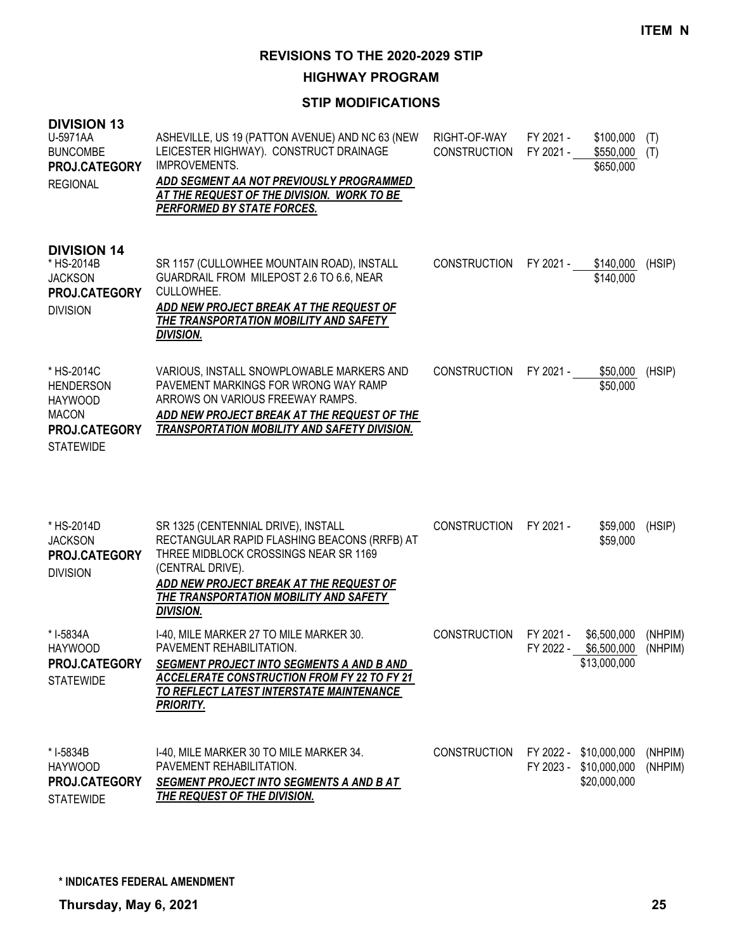**HIGHWAY PROGRAM**

# **STIP MODIFICATIONS**

| <b>DIVISION 13</b><br>U-5971AA<br><b>BUNCOMBE</b><br>PROJ.CATEGORY<br><b>REGIONAL</b>                        | ASHEVILLE, US 19 (PATTON AVENUE) AND NC 63 (NEW<br>LEICESTER HIGHWAY). CONSTRUCT DRAINAGE<br><b>IMPROVEMENTS.</b><br>ADD SEGMENT AA NOT PREVIOUSLY PROGRAMMED<br>AT THE REQUEST OF THE DIVISION. WORK TO BE<br><b>PERFORMED BY STATE FORCES.</b>          | RIGHT-OF-WAY<br><b>CONSTRUCTION</b> | FY 2021 -<br>FY 2021 - | \$100,000<br>\$550,000<br>\$650,000                              | (T)<br>(T)         |
|--------------------------------------------------------------------------------------------------------------|-----------------------------------------------------------------------------------------------------------------------------------------------------------------------------------------------------------------------------------------------------------|-------------------------------------|------------------------|------------------------------------------------------------------|--------------------|
| <b>DIVISION 14</b><br>* HS-2014B<br><b>JACKSON</b><br>PROJ.CATEGORY<br><b>DIVISION</b>                       | SR 1157 (CULLOWHEE MOUNTAIN ROAD), INSTALL<br>GUARDRAIL FROM MILEPOST 2.6 TO 6.6, NEAR<br>CULLOWHEE.<br>ADD NEW PROJECT BREAK AT THE REQUEST OF<br>THE TRANSPORTATION MOBILITY AND SAFETY<br><b>DIVISION.</b>                                             | <b>CONSTRUCTION</b>                 | FY 2021 -              | \$140,000<br>\$140,000                                           | (HSIP)             |
| * HS-2014C<br><b>HENDERSON</b><br><b>HAYWOOD</b><br><b>MACON</b><br><b>PROJ.CATEGORY</b><br><b>STATEWIDE</b> | VARIOUS, INSTALL SNOWPLOWABLE MARKERS AND<br>PAVEMENT MARKINGS FOR WRONG WAY RAMP<br>ARROWS ON VARIOUS FREEWAY RAMPS.<br>ADD NEW PROJECT BREAK AT THE REQUEST OF THE<br><b>TRANSPORTATION MOBILITY AND SAFETY DIVISION.</b>                               | <b>CONSTRUCTION</b>                 | FY 2021 -              | \$50,000<br>\$50,000                                             | (HSIP)             |
| * HS-2014D<br><b>JACKSON</b><br>PROJ.CATEGORY<br><b>DIVISION</b>                                             | SR 1325 (CENTENNIAL DRIVE), INSTALL<br>RECTANGULAR RAPID FLASHING BEACONS (RRFB) AT<br>THREE MIDBLOCK CROSSINGS NEAR SR 1169<br>(CENTRAL DRIVE).<br>ADD NEW PROJECT BREAK AT THE REQUEST OF<br>THE TRANSPORTATION MOBILITY AND SAFETY<br><b>DIVISION.</b> | <b>CONSTRUCTION</b>                 | FY 2021 -              | \$59,000<br>\$59,000                                             | (HSIP)             |
| * I-5834A<br>HAYWOOD<br>PROJ.CATEGORY<br><b>STATEWIDE</b>                                                    | 1-40, MILE MARKER 27 TO MILE MARKER 30.<br>PAVEMENT REHABILITATION.<br><b>SEGMENT PROJECT INTO SEGMENTS A AND B AND</b><br><b>ACCELERATE CONSTRUCTION FROM FY 22 TO FY 21</b><br>TO REFLECT LATEST INTERSTATE MAINTENANCE<br><b>PRIORITY.</b>             | <b>CONSTRUCTION</b>                 | FY 2021 -<br>FY 2022 - | \$6,500,000<br>\$6,500,000 (NHPIM)<br>\$13,000,000               | (NHPIM)            |
| * I-5834B<br><b>HAYWOOD</b><br>PROJ.CATEGORY<br><b>STATEWIDE</b>                                             | I-40, MILE MARKER 30 TO MILE MARKER 34.<br>PAVEMENT REHABILITATION.<br><b>SEGMENT PROJECT INTO SEGMENTS A AND B AT</b><br>THE REQUEST OF THE DIVISION.                                                                                                    | <b>CONSTRUCTION</b>                 |                        | FY 2022 - \$10,000,000<br>FY 2023 - \$10,000,000<br>\$20,000,000 | (NHPIM)<br>(NHPIM) |

STATEWIDE

**\* INDICATES FEDERAL AMENDMENT**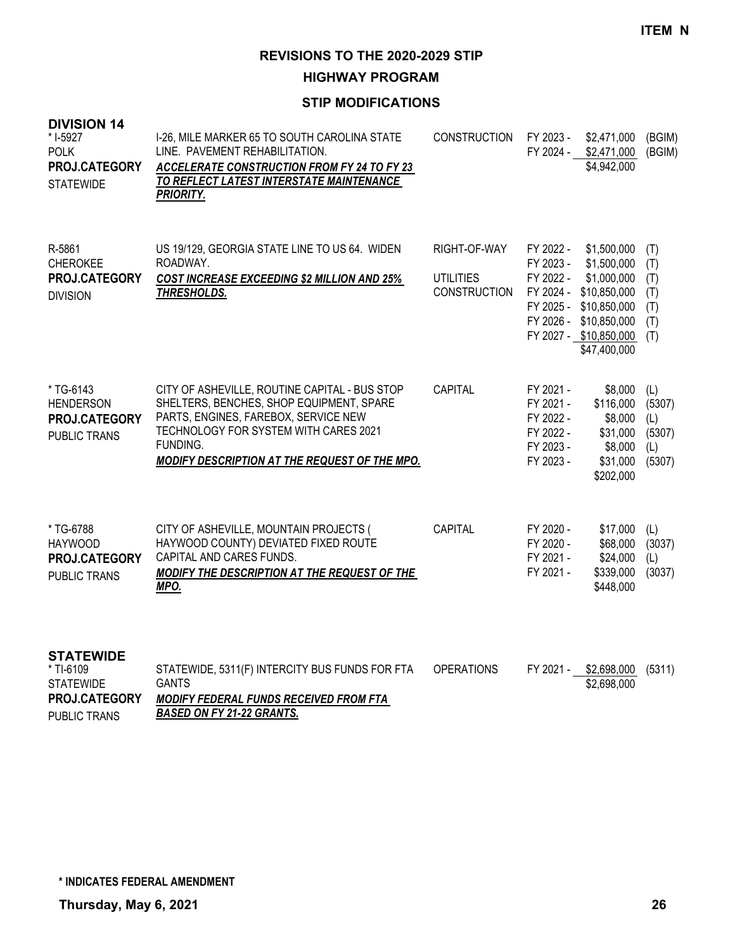**HIGHWAY PROGRAM**

#### **STIP MODIFICATIONS**

| <b>DIVISION 14</b><br>* I-5927<br><b>POLK</b><br>PROJ.CATEGORY<br><b>STATEWIDE</b> | I-26, MILE MARKER 65 TO SOUTH CAROLINA STATE<br>LINE. PAVEMENT REHABILITATION.<br><b>ACCELERATE CONSTRUCTION FROM FY 24 TO FY 23</b><br>TO REFLECT LATEST INTERSTATE MAINTENANCE<br><b>PRIORITY.</b>                                    | <b>CONSTRUCTION</b>                                     | FY 2023 -                                                                  | \$2,471,000<br>FY 2024 - \$2,471,000<br>\$4,942,000                                                                                                               | (BGIM)<br>(BGIM)                                |
|------------------------------------------------------------------------------------|-----------------------------------------------------------------------------------------------------------------------------------------------------------------------------------------------------------------------------------------|---------------------------------------------------------|----------------------------------------------------------------------------|-------------------------------------------------------------------------------------------------------------------------------------------------------------------|-------------------------------------------------|
| R-5861<br><b>CHEROKEE</b><br>PROJ.CATEGORY<br><b>DIVISION</b>                      | US 19/129, GEORGIA STATE LINE TO US 64. WIDEN<br>ROADWAY.<br>COST INCREASE EXCEEDING \$2 MILLION AND 25%<br><b>THRESHOLDS.</b>                                                                                                          | RIGHT-OF-WAY<br><b>UTILITIES</b><br><b>CONSTRUCTION</b> | FY 2022 -<br>FY 2023 -<br>FY 2022 -                                        | \$1,500,000<br>\$1,500,000<br>\$1,000,000<br>FY 2024 - \$10,850,000<br>FY 2025 - \$10,850,000<br>FY 2026 - \$10,850,000<br>FY 2027 - \$10,850,000<br>\$47,400,000 | (T)<br>(T)<br>(T)<br>(T)<br>(T)<br>(T)<br>(T)   |
| * TG-6143<br><b>HENDERSON</b><br>PROJ.CATEGORY<br>PUBLIC TRANS                     | CITY OF ASHEVILLE, ROUTINE CAPITAL - BUS STOP<br>SHELTERS, BENCHES, SHOP EQUIPMENT, SPARE<br>PARTS, ENGINES, FAREBOX, SERVICE NEW<br>TECHNOLOGY FOR SYSTEM WITH CARES 2021<br>FUNDING.<br>MODIFY DESCRIPTION AT THE REQUEST OF THE MPO. | CAPITAL                                                 | FY 2021 -<br>FY 2021 -<br>FY 2022 -<br>FY 2022 -<br>FY 2023 -<br>FY 2023 - | \$8,000<br>\$116,000<br>\$8,000<br>\$31,000<br>\$8,000<br>\$31,000<br>\$202,000                                                                                   | (L)<br>(5307)<br>(L)<br>(5307)<br>(L)<br>(5307) |
| * TG-6788<br><b>HAYWOOD</b><br>PROJ.CATEGORY<br>PUBLIC TRANS                       | CITY OF ASHEVILLE, MOUNTAIN PROJECTS (<br>HAYWOOD COUNTY) DEVIATED FIXED ROUTE<br>CAPITAL AND CARES FUNDS.<br>MODIFY THE DESCRIPTION AT THE REQUEST OF THE<br>MPO.                                                                      | CAPITAL                                                 | FY 2020 -<br>FY 2020 -<br>FY 2021 -<br>FY 2021 -                           | \$17,000<br>\$68,000<br>\$24,000<br>\$339,000<br>\$448,000                                                                                                        | (L)<br>(3037)<br>(L)<br>(3037)                  |
| <b>STATEWIDE</b><br>* TI-6109<br><b>STATEWIDE</b><br>PROJ.CATEGORY                 | STATEWIDE, 5311(F) INTERCITY BUS FUNDS FOR FTA<br><b>GANTS</b><br><b>MODIFY FEDERAL FUNDS RECEIVED FROM FTA</b>                                                                                                                         | <b>OPERATIONS</b>                                       | FY 2021 -                                                                  | \$2,698,000<br>\$2,698,000                                                                                                                                        | (5311)                                          |

*BASED ON FY 21-22 GRANTS.* PUBLIC TRANS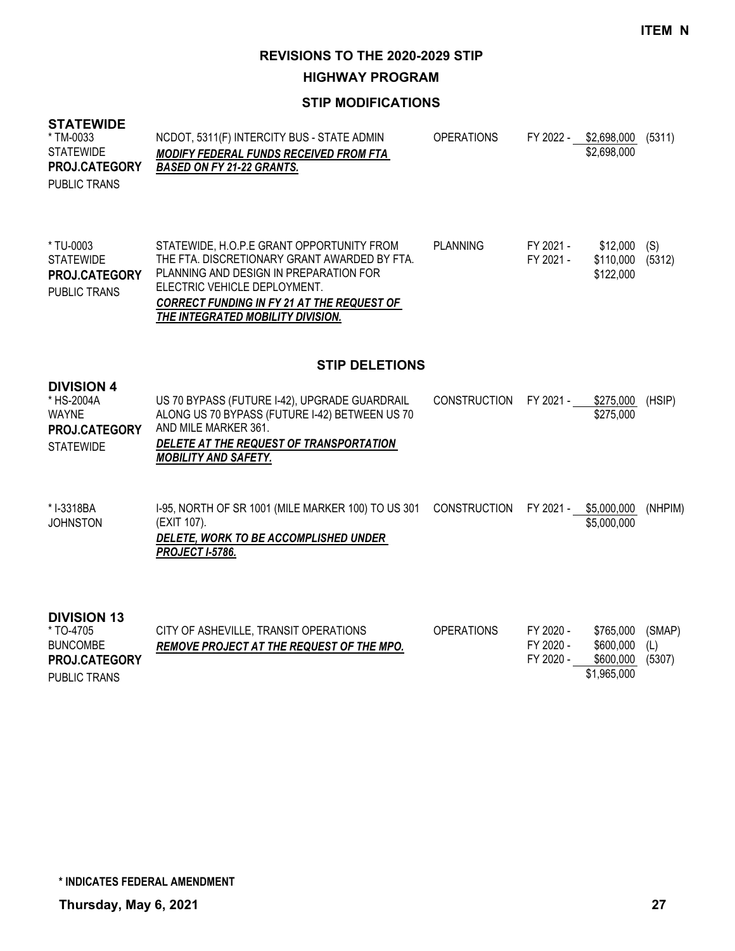**HIGHWAY PROGRAM**

#### **STIP MODIFICATIONS**

#### **STATEWIDE**

PUBLIC TRANS

| * TM-0033<br>STATEWIDE<br><b>PROJ.CATEGORY</b><br>PUBLIC TRANS | NCDOT, 5311(F) INTERCITY BUS - STATE ADMIN<br><b>MODIFY FEDERAL FUNDS RECEIVED FROM FTA</b><br><b>BASED ON FY 21-22 GRANTS.</b> | <b>OPERATIONS</b> | FY 2022 - | \$2.698.000<br>\$2,698,000 | (5311) |
|----------------------------------------------------------------|---------------------------------------------------------------------------------------------------------------------------------|-------------------|-----------|----------------------------|--------|
| * TU-0003                                                      | STATEWIDE, H.O.P.E GRANT OPPORTUNITY FROM                                                                                       | <b>PLANNING</b>   | FY 2021 - | \$12,000                   | (S)    |
| <b>STATEWIDE</b>                                               | THE FTA. DISCRETIONARY GRANT AWARDED BY FTA.                                                                                    |                   | FY 2021 - | \$110,000                  | (5312) |

PLANNING AND DESIGN IN PREPARATION FOR ELECTRIC VEHICLE DEPLOYMENT. *CORRECT FUNDING IN FY 21 AT THE REQUEST OF*  \$122,000 **PROJ.CATEGORY**

# **STIP DELETIONS**

*THE INTEGRATED MOBILITY DIVISION.*

| <b>DIVISION 4</b><br>* HS-2004A<br><b>WAYNE</b><br><b>PROJ.CATEGORY</b><br><b>STATEWIDE</b> | US 70 BYPASS (FUTURE I-42), UPGRADE GUARDRAIL<br>ALONG US 70 BYPASS (FUTURE I-42) BETWEEN US 70<br>AND MILE MARKER 361.<br>DELETE AT THE REQUEST OF TRANSPORTATION<br><b>MOBILITY AND SAFETY.</b> | CONSTRUCTION FY 2021 - | \$275.000<br>\$275,000 | (HSIP) |
|---------------------------------------------------------------------------------------------|---------------------------------------------------------------------------------------------------------------------------------------------------------------------------------------------------|------------------------|------------------------|--------|
|                                                                                             |                                                                                                                                                                                                   |                        |                        |        |

I-95, NORTH OF SR 1001 (MILE MARKER 100) TO US 301 CONSTRUCTION FY 2021 - \_\_ <u>\$5,000,000</u> (NHPIM) (EXIT 107). *DELETE, WORK TO BE ACCOMPLISHED UNDER PROJECT I-5786.* \$5,000,000 \* I-3318BA JOHNSTON

# **DIVISION 13**

| * TO-4705            | CITY OF ASHEVILLE, TRANSIT OPERATIONS            | <b>OPERATIONS</b> | FY 2020 - | \$765,000 (SMAP) |        |
|----------------------|--------------------------------------------------|-------------------|-----------|------------------|--------|
| <b>BUNCOMBE</b>      | <b>REMOVE PROJECT AT THE REQUEST OF THE MPO.</b> |                   | FY 2020 - | $$600,000$ (L)   |        |
| <b>PROJ.CATEGORY</b> |                                                  |                   | FY 2020 - | \$600.000        | (5307) |
| PUBLIC TRANS         |                                                  |                   |           | \$1,965,000      |        |